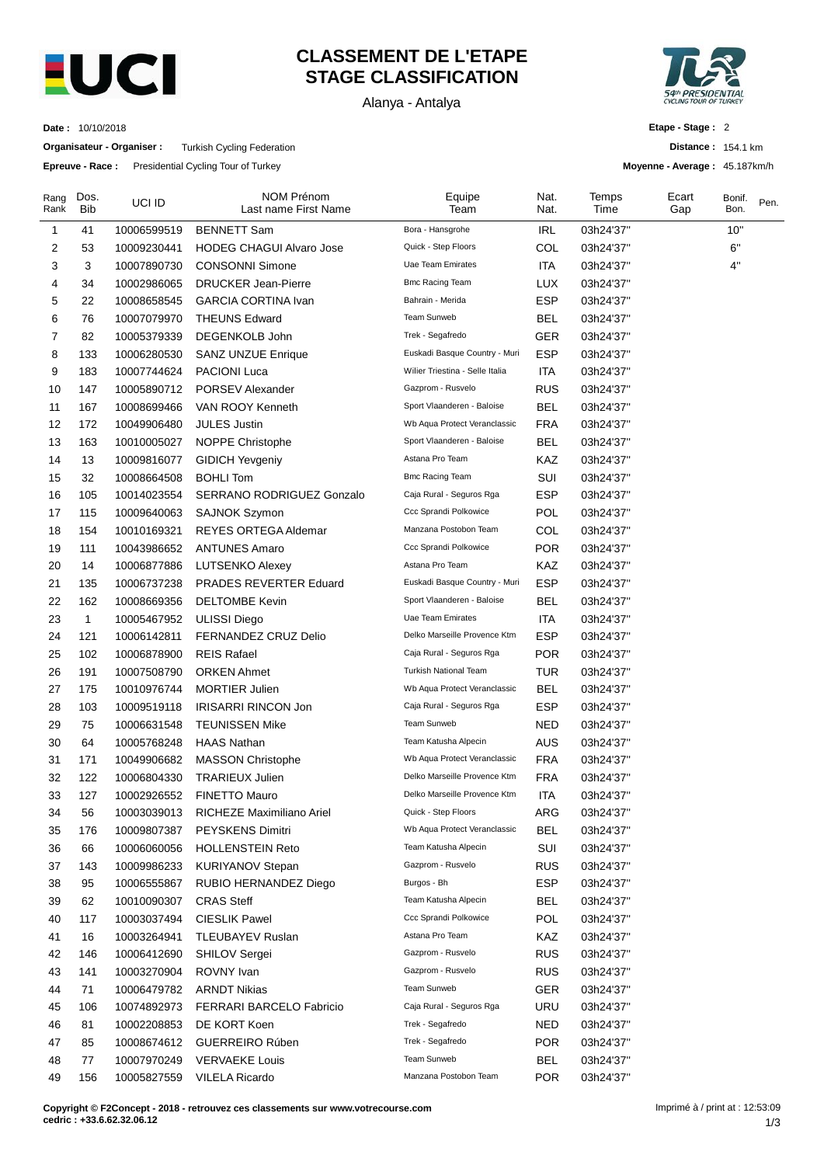

## **CLASSEMENT DE L'ETAPE STAGE CLASSIFICATION**

Alanya - Antalya



**Distance :** 154.1 km **Moyenne - Average :** 45.187km/h

**Etape - Stage :** 2

**Date :** 10/10/2018

**Organisateur - Organiser :** Turkish Cycling Federation

**Epreuve - Race :** Presidential Cycling Tour of Turkey

| Rang<br>Rank | Dos.<br><b>Bib</b> | UCI ID      | <b>NOM Prénom</b><br>Last name First Name | Equipe<br>Team                  | Nat.<br>Nat. | Temps<br>Time | Ecart<br>Gap | Bonif.<br>Bon. | Pen. |
|--------------|--------------------|-------------|-------------------------------------------|---------------------------------|--------------|---------------|--------------|----------------|------|
| 1            | 41                 | 10006599519 | <b>BENNETT Sam</b>                        | Bora - Hansgrohe                | <b>IRL</b>   | 03h24'37"     |              | 10"            |      |
| 2            | 53                 | 10009230441 | <b>HODEG CHAGUI Alvaro Jose</b>           | Quick - Step Floors             | COL          | 03h24'37"     |              | 6"             |      |
| 3            | 3                  | 10007890730 | <b>CONSONNI Simone</b>                    | Uae Team Emirates               | <b>ITA</b>   | 03h24'37"     |              | 4"             |      |
| 4            | 34                 | 10002986065 | <b>DRUCKER Jean-Pierre</b>                | <b>Bmc Racing Team</b>          | LUX          | 03h24'37"     |              |                |      |
| 5            | 22                 | 10008658545 | <b>GARCIA CORTINA Ivan</b>                | Bahrain - Merida                | <b>ESP</b>   | 03h24'37"     |              |                |      |
| 6            | 76                 | 10007079970 | <b>THEUNS Edward</b>                      | <b>Team Sunweb</b>              | <b>BEL</b>   | 03h24'37"     |              |                |      |
| 7            | 82                 | 10005379339 | DEGENKOLB John                            | Trek - Segafredo                | <b>GER</b>   | 03h24'37"     |              |                |      |
| 8            | 133                | 10006280530 | <b>SANZ UNZUE Enrique</b>                 | Euskadi Basque Country - Muri   | <b>ESP</b>   | 03h24'37"     |              |                |      |
| 9            | 183                | 10007744624 | <b>PACIONI Luca</b>                       | Wilier Triestina - Selle Italia | ITA          | 03h24'37"     |              |                |      |
| 10           | 147                | 10005890712 | PORSEV Alexander                          | Gazprom - Rusvelo               | <b>RUS</b>   | 03h24'37"     |              |                |      |
| 11           | 167                | 10008699466 | VAN ROOY Kenneth                          | Sport Vlaanderen - Baloise      | <b>BEL</b>   | 03h24'37"     |              |                |      |
| 12           | 172                | 10049906480 | <b>JULES Justin</b>                       | Wb Aqua Protect Veranclassic    | <b>FRA</b>   | 03h24'37"     |              |                |      |
| 13           | 163                | 10010005027 | NOPPE Christophe                          | Sport Vlaanderen - Baloise      | BEL          | 03h24'37"     |              |                |      |
| 14           | 13                 | 10009816077 | <b>GIDICH Yevgeniy</b>                    | Astana Pro Team                 | KAZ          | 03h24'37"     |              |                |      |
| 15           | 32                 | 10008664508 | <b>BOHLI Tom</b>                          | <b>Bmc Racing Team</b>          | SUI          | 03h24'37"     |              |                |      |
| 16           | 105                | 10014023554 | SERRANO RODRIGUEZ Gonzalo                 | Caja Rural - Seguros Rga        | <b>ESP</b>   | 03h24'37"     |              |                |      |
| 17           | 115                | 10009640063 | <b>SAJNOK Szymon</b>                      | Ccc Sprandi Polkowice           | POL          | 03h24'37"     |              |                |      |
| 18           | 154                | 10010169321 | <b>REYES ORTEGA Aldemar</b>               | Manzana Postobon Team           | COL          | 03h24'37"     |              |                |      |
| 19           | 111                | 10043986652 | <b>ANTUNES Amaro</b>                      | Ccc Sprandi Polkowice           | <b>POR</b>   | 03h24'37"     |              |                |      |
| 20           | 14                 | 10006877886 | <b>LUTSENKO Alexey</b>                    | Astana Pro Team                 | KAZ          | 03h24'37"     |              |                |      |
| 21           | 135                | 10006737238 | <b>PRADES REVERTER Eduard</b>             | Euskadi Basque Country - Muri   | <b>ESP</b>   | 03h24'37"     |              |                |      |
| 22           | 162                | 10008669356 | <b>DELTOMBE Kevin</b>                     | Sport Vlaanderen - Baloise      | <b>BEL</b>   | 03h24'37"     |              |                |      |
| 23           | $\mathbf{1}$       | 10005467952 | <b>ULISSI Diego</b>                       | <b>Uae Team Emirates</b>        | ITA          | 03h24'37"     |              |                |      |
| 24           | 121                | 10006142811 | FERNANDEZ CRUZ Delio                      | Delko Marseille Provence Ktm    | <b>ESP</b>   | 03h24'37"     |              |                |      |
| 25           | 102                | 10006878900 | <b>REIS Rafael</b>                        | Caja Rural - Seguros Rga        | <b>POR</b>   | 03h24'37"     |              |                |      |
| 26           | 191                | 10007508790 | <b>ORKEN Ahmet</b>                        | <b>Turkish National Team</b>    | <b>TUR</b>   | 03h24'37"     |              |                |      |
| 27           | 175                | 10010976744 | <b>MORTIER Julien</b>                     | Wb Aqua Protect Veranclassic    | <b>BEL</b>   | 03h24'37"     |              |                |      |
| 28           | 103                | 10009519118 | IRISARRI RINCON Jon                       | Caja Rural - Seguros Rga        | <b>ESP</b>   | 03h24'37"     |              |                |      |
| 29           | 75                 | 10006631548 | <b>TEUNISSEN Mike</b>                     | <b>Team Sunweb</b>              | NED          | 03h24'37"     |              |                |      |
| 30           | 64                 | 10005768248 | <b>HAAS Nathan</b>                        | Team Katusha Alpecin            | <b>AUS</b>   | 03h24'37"     |              |                |      |
| 31           | 171                | 10049906682 | <b>MASSON Christophe</b>                  | Wb Aqua Protect Veranclassic    | <b>FRA</b>   | 03h24'37"     |              |                |      |
| 32           | 122                | 10006804330 | <b>TRARIEUX Julien</b>                    | Delko Marseille Provence Ktm    | <b>FRA</b>   | 03h24'37"     |              |                |      |
| 33           | 127                | 10002926552 | <b>FINETTO Mauro</b>                      | Delko Marseille Provence Ktm    | ITA          | 03h24'37"     |              |                |      |
| 34           | 56                 | 10003039013 | RICHEZE Maximiliano Ariel                 | Quick - Step Floors             | ARG          | 03h24'37"     |              |                |      |
| 35           | 176                | 10009807387 | PEYSKENS Dimitri                          | Wb Aqua Protect Veranclassic    | <b>BEL</b>   | 03h24'37"     |              |                |      |
| 36           | 66                 | 10006060056 | <b>HOLLENSTEIN Reto</b>                   | Team Katusha Alpecin            | SUI          | 03h24'37"     |              |                |      |
| 37           | 143                | 10009986233 | <b>KURIYANOV Stepan</b>                   | Gazprom - Rusvelo               | <b>RUS</b>   | 03h24'37"     |              |                |      |
| 38           | 95                 | 10006555867 | RUBIO HERNANDEZ Diego                     | Burgos - Bh                     | <b>ESP</b>   | 03h24'37"     |              |                |      |
| 39           | 62                 | 10010090307 | <b>CRAS Steff</b>                         | Team Katusha Alpecin            | <b>BEL</b>   | 03h24'37"     |              |                |      |
| 40           |                    |             | <b>CIESLIK Pawel</b>                      | Ccc Sprandi Polkowice           | POL          |               |              |                |      |
|              | 117                | 10003037494 |                                           | Astana Pro Team                 | KAZ          | 03h24'37"     |              |                |      |
| 41<br>42     | 16                 | 10003264941 | TLEUBAYEV Ruslan<br>SHILOV Sergei         | Gazprom - Rusvelo               |              | 03h24'37"     |              |                |      |
|              | 146                | 10006412690 |                                           | Gazprom - Rusvelo               | <b>RUS</b>   | 03h24'37"     |              |                |      |
| 43           | 141                | 10003270904 | ROVNY Ivan                                | Team Sunweb                     | <b>RUS</b>   | 03h24'37"     |              |                |      |
| 44           | 71                 | 10006479782 | <b>ARNDT Nikias</b>                       | Caja Rural - Seguros Rga        | <b>GER</b>   | 03h24'37"     |              |                |      |
| 45           | 106                | 10074892973 | FERRARI BARCELO Fabricio                  | Trek - Segafredo                | URU          | 03h24'37"     |              |                |      |
| 46           | 81                 | 10002208853 | DE KORT Koen                              | Trek - Segafredo                | <b>NED</b>   | 03h24'37"     |              |                |      |
| 47           | 85                 | 10008674612 | GUERREIRO Rúben                           | Team Sunweb                     | <b>POR</b>   | 03h24'37"     |              |                |      |
| 48           | 77                 | 10007970249 | <b>VERVAEKE Louis</b>                     |                                 | <b>BEL</b>   | 03h24'37"     |              |                |      |
| 49           | 156                | 10005827559 | <b>VILELA Ricardo</b>                     | Manzana Postobon Team           | <b>POR</b>   | 03h24'37"     |              |                |      |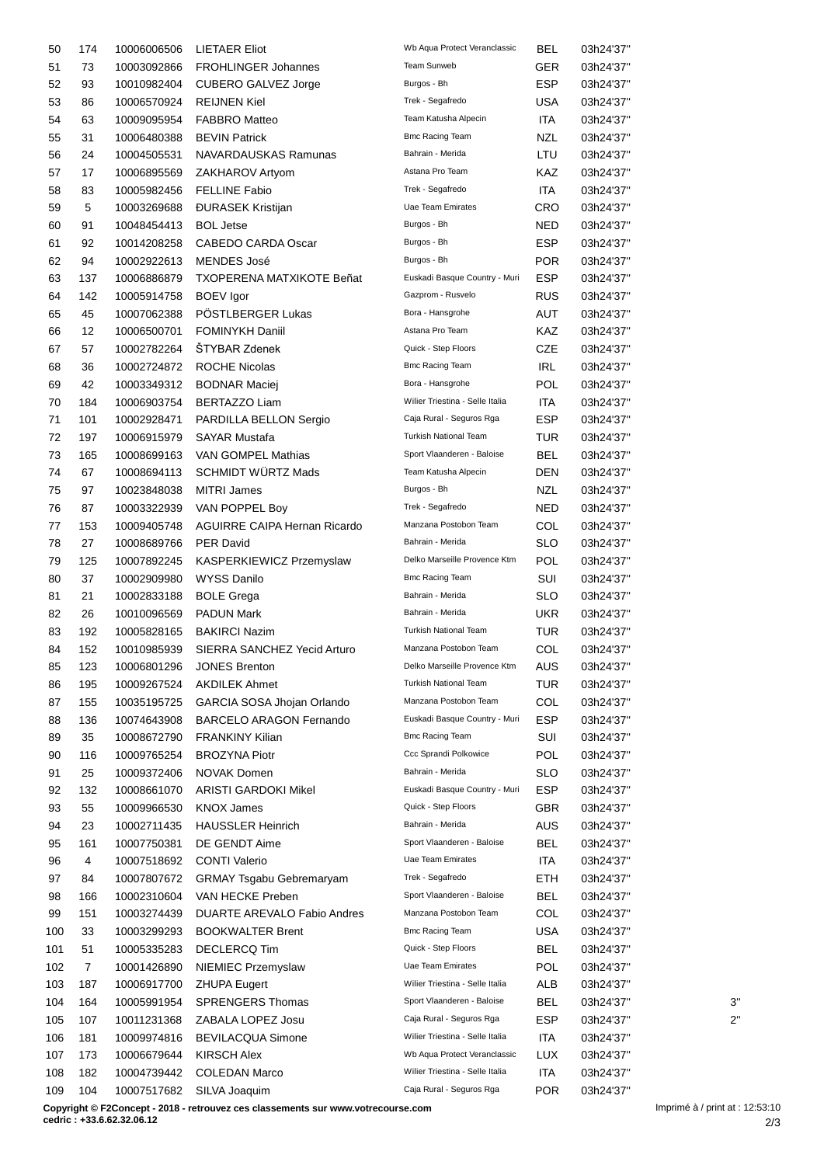| 50  | 174            | 10006006506 | <b>LIETAER Eliot</b>             | Wb Aqua Protect Veranclassic    | <b>BEL</b> | 03h24'37" |              |
|-----|----------------|-------------|----------------------------------|---------------------------------|------------|-----------|--------------|
| 51  | 73             | 10003092866 | <b>FROHLINGER Johannes</b>       | Team Sunweb                     | GER        | 03h24'37" |              |
| 52  | 93             | 10010982404 | CUBERO GALVEZ Jorge              | Burgos - Bh                     | <b>ESP</b> | 03h24'37" |              |
| 53  | 86             | 10006570924 | <b>REIJNEN Kiel</b>              | Trek - Segafredo                | USA        | 03h24'37" |              |
| 54  | 63             | 10009095954 | <b>FABBRO Matteo</b>             | Team Katusha Alpecin            | ITA        | 03h24'37" |              |
| 55  | 31             | 10006480388 | <b>BEVIN Patrick</b>             | <b>Bmc Racing Team</b>          | NZL        | 03h24'37" |              |
| 56  | 24             | 10004505531 | NAVARDAUSKAS Ramunas             | Bahrain - Merida                | LTU        | 03h24'37" |              |
| 57  | 17             | 10006895569 | ZAKHAROV Artyom                  | Astana Pro Team                 | KAZ        | 03h24'37" |              |
| 58  | 83             | 10005982456 | <b>FELLINE Fabio</b>             | Trek - Segafredo                | ITA.       | 03h24'37" |              |
|     |                |             |                                  | Uae Team Emirates               |            |           |              |
| 59  | 5              | 10003269688 | <b>ĐURASEK Kristijan</b>         |                                 | CRO        | 03h24'37" |              |
| 60  | 91             | 10048454413 | <b>BOL Jetse</b>                 | Burgos - Bh                     | NED        | 03h24'37" |              |
| 61  | 92             | 10014208258 | CABEDO CARDA Oscar               | Burgos - Bh                     | <b>ESP</b> | 03h24'37" |              |
| 62  | 94             | 10002922613 | MENDES José                      | Burgos - Bh                     | <b>POR</b> | 03h24'37" |              |
| 63  | 137            | 10006886879 | <b>TXOPERENA MATXIKOTE Beñat</b> | Euskadi Basque Country - Muri   | <b>ESP</b> | 03h24'37" |              |
| 64  | 142            | 10005914758 | <b>BOEV</b> Igor                 | Gazprom - Rusvelo               | <b>RUS</b> | 03h24'37" |              |
| 65  | 45             | 10007062388 | POSTLBERGER Lukas                | Bora - Hansgrohe                | AUT        | 03h24'37" |              |
| 66  | 12             | 10006500701 | <b>FOMINYKH Daniil</b>           | Astana Pro Team                 | KAZ        | 03h24'37" |              |
| 67  | 57             | 10002782264 | ŠTYBAR Zdenek                    | Quick - Step Floors             | <b>CZE</b> | 03h24'37" |              |
| 68  | 36             | 10002724872 | <b>ROCHE Nicolas</b>             | <b>Bmc Racing Team</b>          | IRL        | 03h24'37" |              |
| 69  | 42             | 10003349312 | <b>BODNAR Maciej</b>             | Bora - Hansgrohe                | <b>POL</b> | 03h24'37" |              |
| 70  | 184            | 10006903754 | <b>BERTAZZO Liam</b>             | Wilier Triestina - Selle Italia | ITA        | 03h24'37" |              |
| 71  | 101            | 10002928471 | PARDILLA BELLON Sergio           | Caja Rural - Seguros Rga        | <b>ESP</b> | 03h24'37" |              |
| 72  | 197            | 10006915979 | <b>SAYAR Mustafa</b>             | <b>Turkish National Team</b>    | TUR        | 03h24'37" |              |
| 73  | 165            | 10008699163 | VAN GOMPEL Mathias               | Sport Vlaanderen - Baloise      | <b>BEL</b> | 03h24'37" |              |
| 74  | 67             | 10008694113 | <b>SCHMIDT WÜRTZ Mads</b>        | Team Katusha Alpecin            | DEN        | 03h24'37" |              |
|     |                |             |                                  | Burgos - Bh                     |            |           |              |
| 75  | 97             | 10023848038 | <b>MITRI James</b>               |                                 | NZL        | 03h24'37" |              |
| 76  | 87             | 10003322939 | VAN POPPEL Boy                   | Trek - Segafredo                | NED        | 03h24'37" |              |
| 77  | 153            | 10009405748 | AGUIRRE CAIPA Hernan Ricardo     | Manzana Postobon Team           | COL        | 03h24'37" |              |
| 78  | 27             | 10008689766 | <b>PER David</b>                 | Bahrain - Merida                | <b>SLO</b> | 03h24'37" |              |
| 79  | 125            | 10007892245 | KASPERKIEWICZ Przemyslaw         | Delko Marseille Provence Ktm    | POL        | 03h24'37" |              |
| 80  | 37             | 10002909980 | <b>WYSS Danilo</b>               | <b>Bmc Racing Team</b>          | SUI        | 03h24'37" |              |
| 81  | 21             | 10002833188 | <b>BOLE Grega</b>                | Bahrain - Merida                | SLO        | 03h24'37" |              |
| 82  | 26             | 10010096569 | <b>PADUN Mark</b>                | Bahrain - Merida                | UKR        | 03h24'37" |              |
| 83  | 192            | 10005828165 | <b>BAKIRCI Nazim</b>             | <b>Turkish National Team</b>    | TUR        | 03h24'37" |              |
| 84  | 152            | 10010985939 | SIERRA SANCHEZ Yecid Arturo      | Manzana Postobon Team           | COL        | 03h24'37" |              |
| 85  | 123            |             | 10006801296 JONES Brenton        | Delko Marseille Provence Ktm    | AUS        | 03h24'37" |              |
| 86  | 195            | 10009267524 | <b>AKDILEK Ahmet</b>             | <b>Turkish National Team</b>    | TUR        | 03h24'37" |              |
| 87  | 155            | 10035195725 | GARCIA SOSA Jhojan Orlando       | Manzana Postobon Team           | COL        | 03h24'37" |              |
| 88  | 136            | 10074643908 | <b>BARCELO ARAGON Fernando</b>   | Euskadi Basque Country - Muri   | <b>ESP</b> | 03h24'37" |              |
| 89  | 35             | 10008672790 | <b>FRANKINY Kilian</b>           | <b>Bmc Racing Team</b>          | SUI        | 03h24'37" |              |
| 90  | 116            | 10009765254 | <b>BROZYNA Piotr</b>             | Ccc Sprandi Polkowice           | POL        | 03h24'37" |              |
|     |                |             | <b>NOVAK Domen</b>               | Bahrain - Merida                | <b>SLO</b> |           |              |
| 91  | 25             | 10009372406 |                                  | Euskadi Basque Country - Muri   |            | 03h24'37" |              |
| 92  | 132            | 10008661070 | <b>ARISTI GARDOKI Mikel</b>      |                                 | <b>ESP</b> | 03h24'37" |              |
| 93  | 55             | 10009966530 | <b>KNOX James</b>                | Quick - Step Floors             | GBR        | 03h24'37" |              |
| 94  | 23             | 10002711435 | <b>HAUSSLER Heinrich</b>         | Bahrain - Merida                | <b>AUS</b> | 03h24'37" |              |
| 95  | 161            | 10007750381 | DE GENDT Aime                    | Sport Vlaanderen - Baloise      | <b>BEL</b> | 03h24'37" |              |
| 96  | 4              | 10007518692 | <b>CONTI Valerio</b>             | Uae Team Emirates               | <b>ITA</b> | 03h24'37" |              |
| 97  | 84             | 10007807672 | <b>GRMAY Tsgabu Gebremaryam</b>  | Trek - Segafredo                | <b>ETH</b> | 03h24'37" |              |
| 98  | 166            | 10002310604 | VAN HECKE Preben                 | Sport Vlaanderen - Baloise      | BEL        | 03h24'37" |              |
| 99  | 151            | 10003274439 | DUARTE AREVALO Fabio Andres      | Manzana Postobon Team           | COL        | 03h24'37" |              |
| 100 | 33             | 10003299293 | <b>BOOKWALTER Brent</b>          | <b>Bmc Racing Team</b>          | <b>USA</b> | 03h24'37" |              |
| 101 | 51             | 10005335283 | DECLERCQ Tim                     | Quick - Step Floors             | <b>BEL</b> | 03h24'37" |              |
| 102 | $\overline{7}$ | 10001426890 | NIEMIEC Przemyslaw               | Uae Team Emirates               | POL        | 03h24'37" |              |
| 103 | 187            | 10006917700 | <b>ZHUPA Eugert</b>              | Wilier Triestina - Selle Italia | ALB        | 03h24'37" |              |
| 104 | 164            | 10005991954 | <b>SPRENGERS Thomas</b>          | Sport Vlaanderen - Baloise      | <b>BEL</b> | 03h24'37" | 3'           |
| 105 | 107            | 10011231368 | ZABALA LOPEZ Josu                | Caja Rural - Seguros Rga        | <b>ESP</b> | 03h24'37" | $2^{\prime}$ |
| 106 | 181            | 10009974816 | <b>BEVILACQUA Simone</b>         | Wilier Triestina - Selle Italia | ITA        | 03h24'37" |              |
|     |                |             | <b>KIRSCH Alex</b>               | Wb Aqua Protect Veranclassic    | LUX        |           |              |
| 107 | 173            | 10006679644 |                                  | Wilier Triestina - Selle Italia |            | 03h24'37" |              |
| 108 | 182            | 10004739442 | <b>COLEDAN Marco</b>             |                                 | ITA        | 03h24'37" |              |
| 109 | 104            | 10007517682 | SILVA Joaquim                    | Caja Rural - Seguros Rga        | <b>POR</b> | 03h24'37" |              |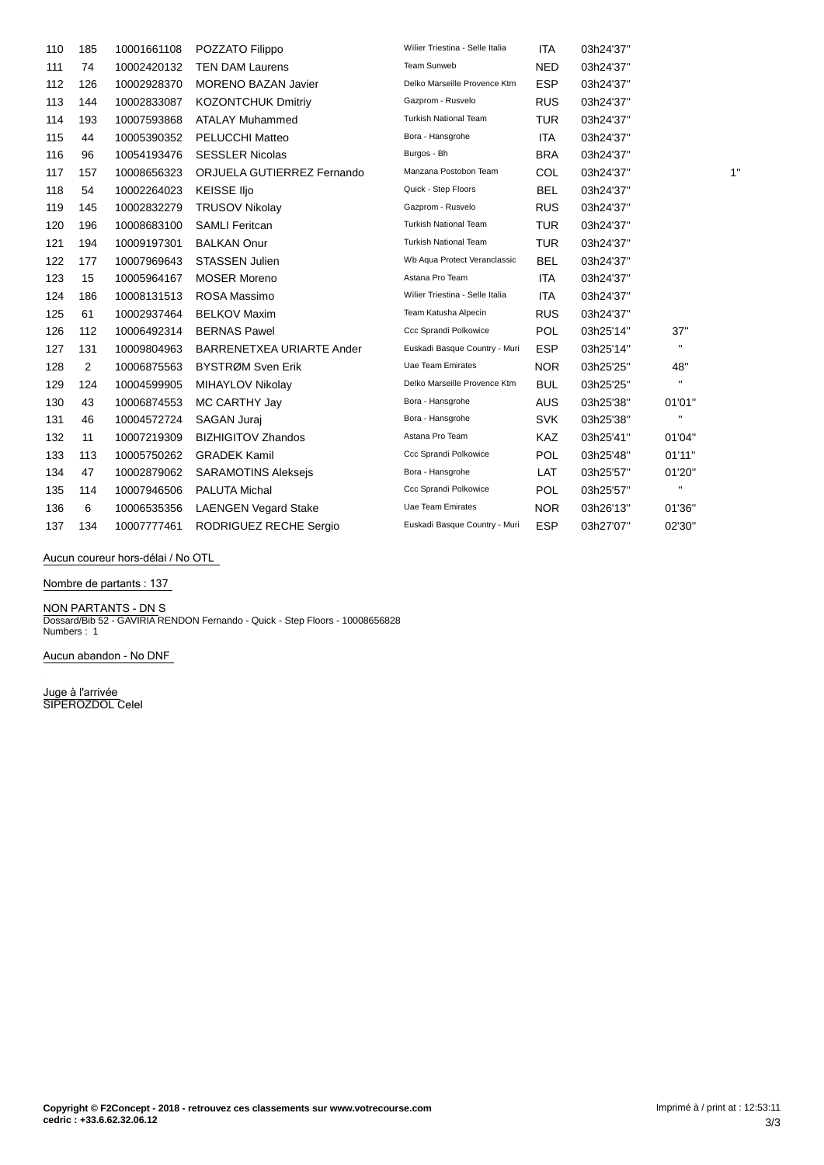| 110 | 185 | 10001661108 | POZZATO Filippo             | Wilier Triestina - Selle Italia | <b>ITA</b> | 03h24'37" |                |    |
|-----|-----|-------------|-----------------------------|---------------------------------|------------|-----------|----------------|----|
| 111 | 74  | 10002420132 | <b>TEN DAM Laurens</b>      | Team Sunweb                     | <b>NED</b> | 03h24'37" |                |    |
| 112 | 126 | 10002928370 | <b>MORENO BAZAN Javier</b>  | Delko Marseille Provence Ktm    | <b>ESP</b> | 03h24'37" |                |    |
| 113 | 144 | 10002833087 | <b>KOZONTCHUK Dmitriy</b>   | Gazprom - Rusvelo               | <b>RUS</b> | 03h24'37" |                |    |
| 114 | 193 | 10007593868 | <b>ATALAY Muhammed</b>      | <b>Turkish National Team</b>    | <b>TUR</b> | 03h24'37" |                |    |
| 115 | 44  | 10005390352 | <b>PELUCCHI Matteo</b>      | Bora - Hansgrohe                | <b>ITA</b> | 03h24'37" |                |    |
| 116 | 96  | 10054193476 | <b>SESSLER Nicolas</b>      | Burgos - Bh                     | <b>BRA</b> | 03h24'37" |                |    |
| 117 | 157 | 10008656323 | ORJUELA GUTIERREZ Fernando  | Manzana Postobon Team           | <b>COL</b> | 03h24'37" |                | 1' |
| 118 | 54  | 10002264023 | <b>KEISSE IIjo</b>          | Quick - Step Floors             | <b>BEL</b> | 03h24'37" |                |    |
| 119 | 145 | 10002832279 | <b>TRUSOV Nikolay</b>       | Gazprom - Rusvelo               | <b>RUS</b> | 03h24'37" |                |    |
| 120 | 196 | 10008683100 | <b>SAMLI Feritcan</b>       | <b>Turkish National Team</b>    | <b>TUR</b> | 03h24'37" |                |    |
| 121 | 194 | 10009197301 | <b>BALKAN Onur</b>          | <b>Turkish National Team</b>    | <b>TUR</b> | 03h24'37" |                |    |
| 122 | 177 | 10007969643 | <b>STASSEN Julien</b>       | Wb Aqua Protect Veranclassic    | <b>BEL</b> | 03h24'37" |                |    |
| 123 | 15  | 10005964167 | <b>MOSER Moreno</b>         | Astana Pro Team                 | <b>ITA</b> | 03h24'37" |                |    |
| 124 | 186 | 10008131513 | ROSA Massimo                | Wilier Triestina - Selle Italia | <b>ITA</b> | 03h24'37" |                |    |
| 125 | 61  | 10002937464 | <b>BELKOV Maxim</b>         | Team Katusha Alpecin            | <b>RUS</b> | 03h24'37" |                |    |
| 126 | 112 | 10006492314 | <b>BERNAS Pawel</b>         | Ccc Sprandi Polkowice           | <b>POL</b> | 03h25'14" | 37"            |    |
| 127 | 131 | 10009804963 | BARRENETXEA URIARTE Ander   | Euskadi Basque Country - Muri   | <b>ESP</b> | 03h25'14" | $\mathbf H$    |    |
| 128 | 2   | 10006875563 | BYSTRØM Sven Erik           | Uae Team Emirates               | <b>NOR</b> | 03h25'25" | 48"            |    |
| 129 | 124 | 10004599905 | MIHAYLOV Nikolay            | Delko Marseille Provence Ktm    | <b>BUL</b> | 03h25'25" | $\mathbf{H}$   |    |
| 130 | 43  | 10006874553 | MC CARTHY Jay               | Bora - Hansgrohe                | AUS        | 03h25'38" | 01'01"         |    |
| 131 | 46  | 10004572724 | <b>SAGAN Jurai</b>          | Bora - Hansgrohe                | <b>SVK</b> | 03h25'38" | $\mathbf H$    |    |
| 132 | 11  | 10007219309 | <b>BIZHIGITOV Zhandos</b>   | Astana Pro Team                 | KAZ        | 03h25'41" | 01'04"         |    |
| 133 | 113 | 10005750262 | <b>GRADEK Kamil</b>         | Ccc Sprandi Polkowice           | <b>POL</b> | 03h25'48" | 01'11"         |    |
| 134 | 47  | 10002879062 | <b>SARAMOTINS Alekseis</b>  | Bora - Hansgrohe                | LAT        | 03h25'57" | 01'20"         |    |
| 135 | 114 | 10007946506 | PALUTA Michal               | Ccc Sprandi Polkowice           | <b>POL</b> | 03h25'57" | $\blacksquare$ |    |
| 136 | 6   | 10006535356 | <b>LAENGEN Vegard Stake</b> | <b>Uae Team Emirates</b>        | <b>NOR</b> | 03h26'13" | 01'36"         |    |
| 137 | 134 | 10007777461 | RODRIGUEZ RECHE Sergio      | Euskadi Basque Country - Muri   | <b>ESP</b> | 03h27'07" | 02'30"         |    |

**Aucun coureur hors-dÈlai / No OTL**

**Nombre de partants : 137**

**NON PARTANTS - DN** S Dossard/Bib 52 - GAVIRIA RENDON Fernando - Quick - Step Floors - 10008656828 Numbers : 1

**Aucun abandon - No DNF**

**Juge à l'arrivée** SIPEROZDOL Celel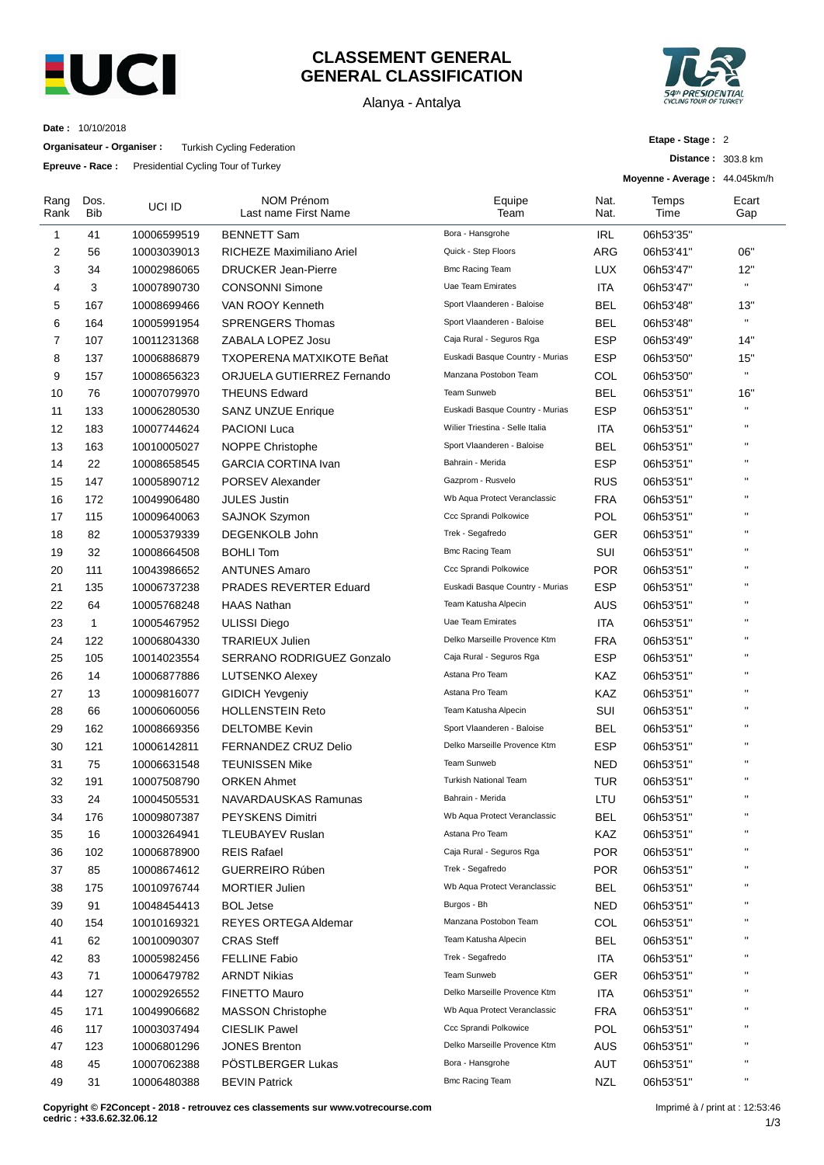

## **CLASSEMENT GENERAL GENERAL CLASSIFICATION**

Alanya - Antalya



**Date :** 10/10/2018

**Organisateur - Organiser :** Turkish Cycling Federation

**Epreuve - Race :** Presidential Cycling Tour of Turkey

**Distance :** 303.8 km

**Moyenne - Average :** 44.045km/h

| Rang<br>Rank   | Dos.<br>Bib  | UCI ID      | NOM Prénom<br>Last name First Name | Equipe<br>Team                                   | Nat.<br>Nat. | Temps<br>Time | Ecart<br>Gap |
|----------------|--------------|-------------|------------------------------------|--------------------------------------------------|--------------|---------------|--------------|
| $\mathbf{1}$   | 41           | 10006599519 | <b>BENNETT Sam</b>                 | Bora - Hansgrohe                                 | <b>IRL</b>   | 06h53'35"     |              |
| 2              | 56           | 10003039013 | RICHEZE Maximiliano Ariel          | Quick - Step Floors                              | ARG          | 06h53'41"     | 06"          |
| 3              | 34           | 10002986065 | <b>DRUCKER Jean-Pierre</b>         | <b>Bmc Racing Team</b>                           | <b>LUX</b>   | 06h53'47"     | 12"          |
| 4              | 3            | 10007890730 | <b>CONSONNI Simone</b>             | <b>Uae Team Emirates</b>                         | ITA          | 06h53'47"     | $\mathbf{H}$ |
| 5              | 167          | 10008699466 | VAN ROOY Kenneth                   | Sport Vlaanderen - Baloise                       | <b>BEL</b>   | 06h53'48"     | 13"          |
| 6              | 164          | 10005991954 | <b>SPRENGERS Thomas</b>            | Sport Vlaanderen - Baloise                       | <b>BEL</b>   | 06h53'48"     | $\mathbf{H}$ |
| $\overline{7}$ | 107          | 10011231368 | ZABALA LOPEZ Josu                  | Caja Rural - Seguros Rga                         | <b>ESP</b>   | 06h53'49"     | 14"          |
| 8              | 137          | 10006886879 | <b>TXOPERENA MATXIKOTE Beñat</b>   | Euskadi Basque Country - Murias                  | <b>ESP</b>   | 06h53'50"     | 15"          |
| 9              | 157          | 10008656323 | ORJUELA GUTIERREZ Fernando         | Manzana Postobon Team                            | COL          | 06h53'50"     | $\mathbf{H}$ |
| 10             | 76           | 10007079970 | <b>THEUNS Edward</b>               | Team Sunweb                                      | <b>BEL</b>   | 06h53'51"     | 16"          |
| 11             | 133          | 10006280530 | <b>SANZ UNZUE Enrique</b>          | Euskadi Basque Country - Murias                  | <b>ESP</b>   | 06h53'51"     | $\mathbf{H}$ |
| 12             | 183          | 10007744624 | <b>PACIONI Luca</b>                | Wilier Triestina - Selle Italia                  | ITA          | 06h53'51"     | $\mathbf{H}$ |
| 13             | 163          | 10010005027 | NOPPE Christophe                   | Sport Vlaanderen - Baloise                       | <b>BEL</b>   | 06h53'51"     | Ĥ.           |
| 14             | 22           | 10008658545 | <b>GARCIA CORTINA Ivan</b>         | Bahrain - Merida                                 | <b>ESP</b>   | 06h53'51"     | $\mathbf{H}$ |
| 15             | 147          | 10005890712 | <b>PORSEV Alexander</b>            | Gazprom - Rusvelo                                | <b>RUS</b>   | 06h53'51"     | $\mathbf{H}$ |
| 16             | 172          | 10049906480 | <b>JULES Justin</b>                | Wb Aqua Protect Veranclassic                     | <b>FRA</b>   | 06h53'51"     | Ĥ.           |
| 17             | 115          | 10009640063 | SAJNOK Szymon                      | Ccc Sprandi Polkowice                            | <b>POL</b>   | 06h53'51"     | $\mathbf{H}$ |
| 18             | 82           | 10005379339 | DEGENKOLB John                     | Trek - Segafredo                                 | GER          | 06h53'51"     | Ĥ,           |
| 19             | 32           | 10008664508 | <b>BOHLI Tom</b>                   | <b>Bmc Racing Team</b>                           | SUI          | 06h53'51"     | $\mathbf{H}$ |
| 20             | 111          | 10043986652 | <b>ANTUNES Amaro</b>               | Ccc Sprandi Polkowice                            | <b>POR</b>   | 06h53'51"     | Ĥ.           |
| 21             | 135          | 10006737238 | <b>PRADES REVERTER Eduard</b>      | Euskadi Basque Country - Murias                  | <b>ESP</b>   | 06h53'51"     | $\mathbf{H}$ |
| 22             | 64           | 10005768248 | <b>HAAS Nathan</b>                 | Team Katusha Alpecin                             | AUS          | 06h53'51"     | Ĥ.           |
| 23             | $\mathbf{1}$ | 10005467952 | ULISSI Diego                       | <b>Uae Team Emirates</b>                         | ITA          | 06h53'51"     | $\mathbf{H}$ |
| 24             | 122          | 10006804330 | <b>TRARIEUX Julien</b>             | Delko Marseille Provence Ktm                     | <b>FRA</b>   | 06h53'51"     | Ĥ.           |
| 25             | 105          | 10014023554 | SERRANO RODRIGUEZ Gonzalo          | Caja Rural - Seguros Rga                         | <b>ESP</b>   | 06h53'51"     | $\mathbf{H}$ |
| 26             | 14           | 10006877886 | <b>LUTSENKO Alexey</b>             | Astana Pro Team                                  | KAZ          | 06h53'51"     | $\mathbf{H}$ |
| 27             | 13           | 10009816077 | <b>GIDICH Yevgeniy</b>             | Astana Pro Team                                  | KAZ          | 06h53'51"     | $\mathbf{H}$ |
| 28             | 66           | 10006060056 | <b>HOLLENSTEIN Reto</b>            | Team Katusha Alpecin                             | SUI          | 06h53'51"     | $\mathbf{H}$ |
| 29             | 162          | 10008669356 | <b>DELTOMBE Kevin</b>              | Sport Vlaanderen - Baloise                       | <b>BEL</b>   | 06h53'51"     | Ĥ.           |
| 30             | 121          | 10006142811 | FERNANDEZ CRUZ Delio               | Delko Marseille Provence Ktm                     | <b>ESP</b>   | 06h53'51"     | $\mathbf{H}$ |
| 31             | 75           | 10006631548 | <b>TEUNISSEN Mike</b>              | Team Sunweb                                      | NED          | 06h53'51"     | $\mathbf{H}$ |
| 32             |              |             | <b>ORKEN Ahmet</b>                 | <b>Turkish National Team</b>                     | TUR          |               | Ĥ.           |
| 33             | 191<br>24    | 10007508790 |                                    | Bahrain - Merida                                 | LTU          | 06h53'51"     | $\mathbf{H}$ |
|                |              | 10004505531 | NAVARDAUSKAS Ramunas               | Wb Aqua Protect Veranclassic                     |              | 06h53'51"     | $\mathbf{H}$ |
| 34             | 176          | 10009807387 | PEYSKENS Dimitri                   | Astana Pro Team                                  | <b>BEL</b>   | 06h53'51"     | $\mathbf{H}$ |
| 35             | 16           | 10003264941 | <b>TLEUBAYEV Ruslan</b>            | Caja Rural - Seguros Rga                         | KAZ          | 06h53'51"     |              |
| 36             | 102          | 10006878900 | <b>REIS Rafael</b>                 |                                                  | <b>POR</b>   | 06h53'51"     | Ħ            |
| 37             | 85           | 10008674612 | GUERREIRO Rúben                    | Trek - Segafredo<br>Wb Aqua Protect Veranclassic | <b>POR</b>   | 06h53'51"     |              |
| 38             | 175          | 10010976744 | MORTIER Julien                     |                                                  | <b>BEL</b>   | 06h53'51"     |              |
| 39             | 91           | 10048454413 | <b>BOL Jetse</b>                   | Burgos - Bh                                      | <b>NED</b>   | 06h53'51"     |              |
| 40             | 154          | 10010169321 | REYES ORTEGA Aldemar               | Manzana Postobon Team                            | COL          | 06h53'51"     |              |
| 41             | 62           | 10010090307 | <b>CRAS Steff</b>                  | Team Katusha Alpecin                             | <b>BEL</b>   | 06h53'51"     |              |
| 42             | 83           | 10005982456 | <b>FELLINE Fabio</b>               | Trek - Segafredo                                 | ITA          | 06h53'51"     |              |
| 43             | 71           | 10006479782 | <b>ARNDT Nikias</b>                | Team Sunweb                                      | <b>GER</b>   | 06h53'51"     |              |
| 44             | 127          | 10002926552 | FINETTO Mauro                      | Delko Marseille Provence Ktm                     | ITA          | 06h53'51"     | п            |
| 45             | 171          | 10049906682 | <b>MASSON Christophe</b>           | Wb Aqua Protect Veranclassic                     | <b>FRA</b>   | 06h53'51"     |              |
| 46             | 117          | 10003037494 | <b>CIESLIK Pawel</b>               | Ccc Sprandi Polkowice                            | <b>POL</b>   | 06h53'51"     |              |
| 47             | 123          | 10006801296 | <b>JONES Brenton</b>               | Delko Marseille Provence Ktm                     | <b>AUS</b>   | 06h53'51"     |              |
| 48             | 45           | 10007062388 | PÖSTLBERGER Lukas                  | Bora - Hansgrohe                                 | AUT          | 06h53'51"     |              |
| 49             | 31           | 10006480388 | <b>BEVIN Patrick</b>               | <b>Bmc Racing Team</b>                           | <b>NZL</b>   | 06h53'51"     | н            |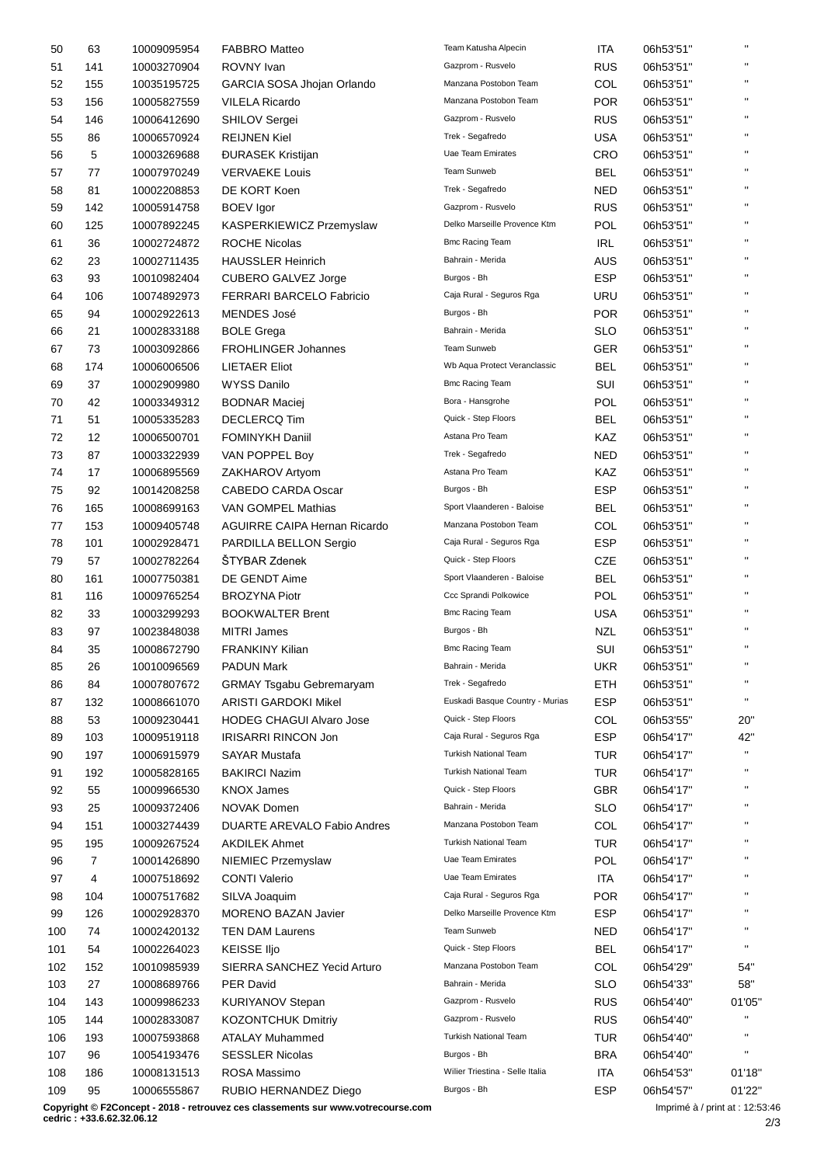| 50  | 63  | 10009095954 | <b>FABBRO Matteo</b>                | Team Katusha Alpecin            | <b>ITA</b> | 06h53'51" | $\mathbf{H}$ |
|-----|-----|-------------|-------------------------------------|---------------------------------|------------|-----------|--------------|
| 51  | 141 | 10003270904 | ROVNY Ivan                          | Gazprom - Rusvelo               | <b>RUS</b> | 06h53'51" | $\mathbf{H}$ |
| 52  | 155 | 10035195725 | GARCIA SOSA Jhojan Orlando          | Manzana Postobon Team           | COL        | 06h53'51" | $\mathbf{H}$ |
| 53  | 156 | 10005827559 | <b>VILELA Ricardo</b>               | Manzana Postobon Team           | <b>POR</b> | 06h53'51" | $\mathbf{H}$ |
| 54  | 146 | 10006412690 | <b>SHILOV Sergei</b>                | Gazprom - Rusvelo               | <b>RUS</b> | 06h53'51" | $\mathbf{H}$ |
| 55  | 86  | 10006570924 | <b>REIJNEN Kiel</b>                 | Trek - Segafredo                | USA        | 06h53'51" | $\mathbf{H}$ |
| 56  | 5   | 10003269688 | <b>DURASEK Kristijan</b>            | <b>Uae Team Emirates</b>        | CRO        | 06h53'51" | $\mathbf{H}$ |
| 57  | 77  | 10007970249 | <b>VERVAEKE Louis</b>               | Team Sunweb                     | <b>BEL</b> | 06h53'51" | $\mathbf{H}$ |
| 58  | 81  | 10002208853 | DE KORT Koen                        | Trek - Segafredo                | NED        | 06h53'51" | $\mathbf{H}$ |
| 59  | 142 | 10005914758 | <b>BOEV</b> Igor                    | Gazprom - Rusvelo               | <b>RUS</b> | 06h53'51" | $\mathbf{H}$ |
|     | 125 |             |                                     | Delko Marseille Provence Ktm    | POL        |           | $\mathbf{H}$ |
| 60  |     | 10007892245 | KASPERKIEWICZ Przemyslaw            | <b>Bmc Racing Team</b>          |            | 06h53'51" | $\mathbf{H}$ |
| 61  | 36  | 10002724872 | <b>ROCHE Nicolas</b>                |                                 | <b>IRL</b> | 06h53'51" | $\mathbf{H}$ |
| 62  | 23  | 10002711435 | <b>HAUSSLER Heinrich</b>            | Bahrain - Merida                | <b>AUS</b> | 06h53'51" | $\mathbf{H}$ |
| 63  | 93  | 10010982404 | CUBERO GALVEZ Jorge                 | Burgos - Bh                     | <b>ESP</b> | 06h53'51" | $\mathbf{H}$ |
| 64  | 106 | 10074892973 | FERRARI BARCELO Fabricio            | Caja Rural - Seguros Rga        | URU        | 06h53'51" |              |
| 65  | 94  | 10002922613 | <b>MENDES José</b>                  | Burgos - Bh                     | <b>POR</b> | 06h53'51" | $\mathbf{H}$ |
| 66  | 21  | 10002833188 | <b>BOLE Grega</b>                   | Bahrain - Merida                | <b>SLO</b> | 06h53'51" | $\mathbf{H}$ |
| 67  | 73  | 10003092866 | <b>FROHLINGER Johannes</b>          | Team Sunweb                     | <b>GER</b> | 06h53'51" | $\mathbf{H}$ |
| 68  | 174 | 10006006506 | <b>LIETAER Eliot</b>                | Wb Aqua Protect Veranclassic    | <b>BEL</b> | 06h53'51" | $\mathbf{H}$ |
| 69  | 37  | 10002909980 | <b>WYSS Danilo</b>                  | <b>Bmc Racing Team</b>          | SUI        | 06h53'51" | $\mathbf{H}$ |
| 70  | 42  | 10003349312 | <b>BODNAR Maciej</b>                | Bora - Hansgrohe                | <b>POL</b> | 06h53'51" | $\mathbf{H}$ |
| 71  | 51  | 10005335283 | <b>DECLERCQ Tim</b>                 | Quick - Step Floors             | BEL        | 06h53'51" | $\mathbf{H}$ |
| 72  | 12  | 10006500701 | <b>FOMINYKH Daniil</b>              | Astana Pro Team                 | KAZ        | 06h53'51" | $\mathbf{H}$ |
| 73  | 87  | 10003322939 | VAN POPPEL Boy                      | Trek - Segafredo                | NED        | 06h53'51" | $\mathbf{H}$ |
| 74  | 17  | 10006895569 | ZAKHAROV Artyom                     | Astana Pro Team                 | KAZ        | 06h53'51" | $\mathbf{H}$ |
| 75  | 92  | 10014208258 | <b>CABEDO CARDA Oscar</b>           | Burgos - Bh                     | <b>ESP</b> | 06h53'51" | $\mathbf{H}$ |
| 76  | 165 | 10008699163 | VAN GOMPEL Mathias                  | Sport Vlaanderen - Baloise      | <b>BEL</b> | 06h53'51" | $\mathbf{H}$ |
|     |     |             |                                     | Manzana Postobon Team           |            |           | $\mathbf{H}$ |
| 77  | 153 | 10009405748 | <b>AGUIRRE CAIPA Hernan Ricardo</b> |                                 | COL        | 06h53'51" | $\mathbf{H}$ |
| 78  | 101 | 10002928471 | PARDILLA BELLON Sergio              | Caja Rural - Seguros Rga        | <b>ESP</b> | 06h53'51" | $\mathbf{H}$ |
| 79  | 57  | 10002782264 | ŠTYBAR Zdenek                       | Quick - Step Floors             | CZE        | 06h53'51" |              |
| 80  | 161 | 10007750381 | DE GENDT Aime                       | Sport Vlaanderen - Baloise      | <b>BEL</b> | 06h53'51" | $\mathbf{H}$ |
| 81  | 116 | 10009765254 | <b>BROZYNA Piotr</b>                | Ccc Sprandi Polkowice           | <b>POL</b> | 06h53'51" | $\mathbf{H}$ |
| 82  | 33  | 10003299293 | <b>BOOKWALTER Brent</b>             | <b>Bmc Racing Team</b>          | <b>USA</b> | 06h53'51" | $\mathbf{H}$ |
| 83  | 97  | 10023848038 | <b>MITRI James</b>                  | Burgos - Bh                     | <b>NZL</b> | 06h53'51" | $\mathbf{H}$ |
| 84  | 35  | 10008672790 | <b>FRANKINY Kilian</b>              | <b>Bmc Racing Team</b>          | SUI        | 06h53'51" | $\mathbf{u}$ |
| 85  | 26  | 10010096569 | <b>PADUN Mark</b>                   | Bahrain - Merida                | UKR        | 06h53'51" |              |
| 86  | 84  | 10007807672 | <b>GRMAY Tsgabu Gebremaryam</b>     | Trek - Segafredo                | <b>ETH</b> | 06h53'51" | $\mathbf{H}$ |
| 87  | 132 | 10008661070 | <b>ARISTI GARDOKI Mikel</b>         | Euskadi Basque Country - Murias | <b>ESP</b> | 06h53'51" | $\mathbf{H}$ |
| 88  | 53  | 10009230441 | <b>HODEG CHAGUI Alvaro Jose</b>     | Quick - Step Floors             | COL        | 06h53'55" | 20"          |
| 89  | 103 | 10009519118 | IRISARRI RINCON Jon                 | Caja Rural - Seguros Rga        | <b>ESP</b> | 06h54'17" | 42"          |
| 90  | 197 | 10006915979 | <b>SAYAR Mustafa</b>                | Turkish National Team           | <b>TUR</b> | 06h54'17" | $\mathbf{H}$ |
| 91  | 192 | 10005828165 | <b>BAKIRCI Nazim</b>                | <b>Turkish National Team</b>    | <b>TUR</b> | 06h54'17" | $\mathbf{H}$ |
| 92  | 55  | 10009966530 | <b>KNOX James</b>                   | Quick - Step Floors             | <b>GBR</b> | 06h54'17" | $\mathbf{H}$ |
|     |     |             |                                     | Bahrain - Merida                |            |           | $\mathbf{H}$ |
| 93  | 25  | 10009372406 | <b>NOVAK Domen</b>                  |                                 | <b>SLO</b> | 06h54'17" |              |
| 94  | 151 | 10003274439 | DUARTE AREVALO Fabio Andres         | Manzana Postobon Team           | COL        | 06h54'17" | $\mathbf{H}$ |
| 95  | 195 | 10009267524 | <b>AKDILEK Ahmet</b>                | <b>Turkish National Team</b>    | <b>TUR</b> | 06h54'17" |              |
| 96  | 7   | 10001426890 | NIEMIEC Przemyslaw                  | Uae Team Emirates               | POL        | 06h54'17" | $\mathbf{H}$ |
| 97  | 4   | 10007518692 | <b>CONTI Valerio</b>                | Uae Team Emirates               | ITA        | 06h54'17" | $\mathbf{H}$ |
| 98  | 104 | 10007517682 | SILVA Joaquim                       | Caja Rural - Seguros Rga        | <b>POR</b> | 06h54'17" | $\mathbf{H}$ |
| 99  | 126 | 10002928370 | <b>MORENO BAZAN Javier</b>          | Delko Marseille Provence Ktm    | <b>ESP</b> | 06h54'17" | $\mathbf{H}$ |
| 100 | 74  | 10002420132 | <b>TEN DAM Laurens</b>              | Team Sunweb                     | <b>NED</b> | 06h54'17" | $\mathbf{H}$ |
| 101 | 54  | 10002264023 | <b>KEISSE IIjo</b>                  | Quick - Step Floors             | <b>BEL</b> | 06h54'17" | $\mathbf{H}$ |
| 102 | 152 | 10010985939 | SIERRA SANCHEZ Yecid Arturo         | Manzana Postobon Team           | COL        | 06h54'29" | 54"          |
| 103 | 27  | 10008689766 | <b>PER David</b>                    | Bahrain - Merida                | <b>SLO</b> | 06h54'33" | 58"          |
| 104 | 143 | 10009986233 | <b>KURIYANOV Stepan</b>             | Gazprom - Rusvelo               | <b>RUS</b> | 06h54'40" | 01'05"       |
| 105 | 144 | 10002833087 | <b>KOZONTCHUK Dmitriy</b>           | Gazprom - Rusvelo               | <b>RUS</b> | 06h54'40" | $\mathbf{H}$ |
| 106 | 193 | 10007593868 | <b>ATALAY Muhammed</b>              | Turkish National Team           | <b>TUR</b> | 06h54'40" | $\mathbf{H}$ |
| 107 | 96  | 10054193476 | <b>SESSLER Nicolas</b>              | Burgos - Bh                     | <b>BRA</b> | 06h54'40" | $\mathbf{H}$ |
|     |     |             | ROSA Massimo                        | Wilier Triestina - Selle Italia | <b>ITA</b> |           |              |
| 108 | 186 | 10008131513 |                                     |                                 |            | 06h54'53" | 01'18"       |
| 109 | 95  | 10006555867 | RUBIO HERNANDEZ Diego               | Burgos - Bh                     | <b>ESP</b> | 06h54'57" | 01'22"       |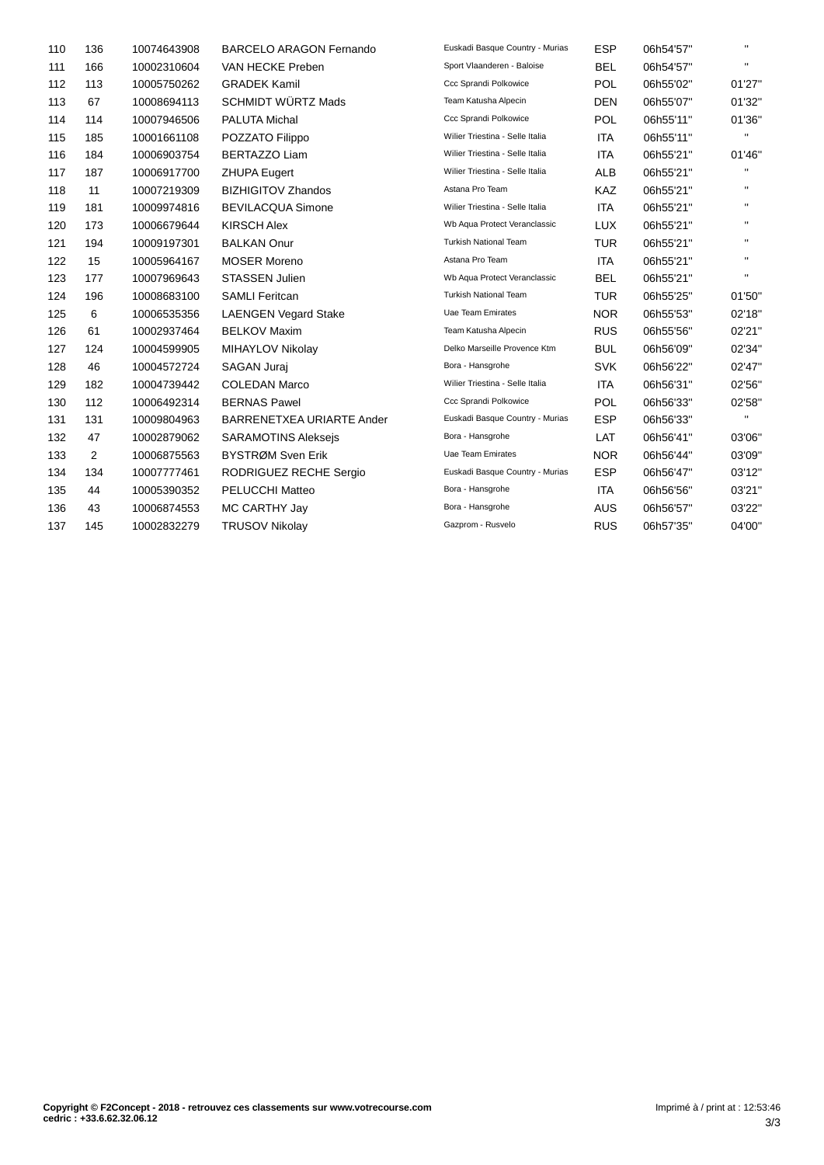| 110 | 136 | 10074643908 | <b>BARCELO ARAGON Fernando</b> | Euskadi Basque Country - Murias | <b>ESP</b> | 06h54'57" | $\mathbf{H}$ |
|-----|-----|-------------|--------------------------------|---------------------------------|------------|-----------|--------------|
| 111 | 166 | 10002310604 | VAN HECKE Preben               | Sport Vlaanderen - Baloise      | <b>BEL</b> | 06h54'57" | п.           |
| 112 | 113 | 10005750262 | <b>GRADEK Kamil</b>            | Ccc Sprandi Polkowice           | <b>POL</b> | 06h55'02" | 01'27"       |
| 113 | 67  | 10008694113 | <b>SCHMIDT WÜRTZ Mads</b>      | Team Katusha Alpecin            | DEN        | 06h55'07" | 01'32"       |
| 114 | 114 | 10007946506 | PALUTA Michal                  | Ccc Sprandi Polkowice           | <b>POL</b> | 06h55'11" | 01'36"       |
| 115 | 185 | 10001661108 | POZZATO Filippo                | Wilier Triestina - Selle Italia | <b>ITA</b> | 06h55'11" | п.           |
| 116 | 184 | 10006903754 | <b>BERTAZZO Liam</b>           | Wilier Triestina - Selle Italia | <b>ITA</b> | 06h55'21" | 01'46"       |
| 117 | 187 | 10006917700 | <b>ZHUPA Eugert</b>            | Wilier Triestina - Selle Italia | <b>ALB</b> | 06h55'21" | $\mathbf{H}$ |
| 118 | 11  | 10007219309 | <b>BIZHIGITOV Zhandos</b>      | Astana Pro Team                 | <b>KAZ</b> | 06h55'21" | $\mathbf{H}$ |
| 119 | 181 | 10009974816 | <b>BEVILACQUA Simone</b>       | Wilier Triestina - Selle Italia | <b>ITA</b> | 06h55'21" | п.           |
| 120 | 173 | 10006679644 | <b>KIRSCH Alex</b>             | Wb Aqua Protect Veranclassic    | <b>LUX</b> | 06h55'21" | п.           |
| 121 | 194 | 10009197301 | <b>BALKAN Onur</b>             | <b>Turkish National Team</b>    | <b>TUR</b> | 06h55'21" | $\mathbf{H}$ |
| 122 | 15  | 10005964167 | <b>MOSER Moreno</b>            | Astana Pro Team                 | <b>ITA</b> | 06h55'21" | $\mathbf{H}$ |
| 123 | 177 | 10007969643 | <b>STASSEN Julien</b>          | Wb Aqua Protect Veranclassic    | <b>BEL</b> | 06h55'21" | п.           |
| 124 | 196 | 10008683100 | <b>SAMLI Feritcan</b>          | <b>Turkish National Team</b>    | <b>TUR</b> | 06h55'25" | 01'50"       |
| 125 | 6   | 10006535356 | <b>LAENGEN Vegard Stake</b>    | Uae Team Emirates               | <b>NOR</b> | 06h55'53" | 02'18"       |
| 126 | 61  | 10002937464 | <b>BELKOV Maxim</b>            | Team Katusha Alpecin            | <b>RUS</b> | 06h55'56" | 02'21"       |
| 127 | 124 | 10004599905 | MIHAYLOV Nikolay               | Delko Marseille Provence Ktm    | <b>BUL</b> | 06h56'09" | 02'34"       |
| 128 | 46  | 10004572724 | <b>SAGAN Jurai</b>             | Bora - Hansgrohe                | <b>SVK</b> | 06h56'22" | 02'47"       |
| 129 | 182 | 10004739442 | <b>COLEDAN Marco</b>           | Wilier Triestina - Selle Italia | <b>ITA</b> | 06h56'31" | 02'56"       |
| 130 | 112 | 10006492314 | <b>BERNAS Pawel</b>            | Ccc Sprandi Polkowice           | <b>POL</b> | 06h56'33" | 02'58"       |
| 131 | 131 | 10009804963 | BARRENETXEA URIARTE Ander      | Euskadi Basque Country - Murias | <b>ESP</b> | 06h56'33" | п.           |
| 132 | 47  | 10002879062 | <b>SARAMOTINS Aleksejs</b>     | Bora - Hansgrohe                | LAT        | 06h56'41" | 03'06"       |
| 133 | 2   | 10006875563 | BYSTRØM Sven Erik              | Uae Team Emirates               | <b>NOR</b> | 06h56'44" | 03'09"       |
| 134 | 134 | 10007777461 | RODRIGUEZ RECHE Sergio         | Euskadi Basque Country - Murias | <b>ESP</b> | 06h56'47" | 03'12"       |
| 135 | 44  | 10005390352 | PELUCCHI Matteo                | Bora - Hansgrohe                | ITA        | 06h56'56" | 03'21"       |
| 136 | 43  | 10006874553 | MC CARTHY Jay                  | Bora - Hansgrohe                | <b>AUS</b> | 06h56'57" | 03'22"       |
| 137 | 145 | 10002832279 | <b>TRUSOV Nikolay</b>          | Gazprom - Rusvelo               | <b>RUS</b> | 06h57'35" | 04'00"       |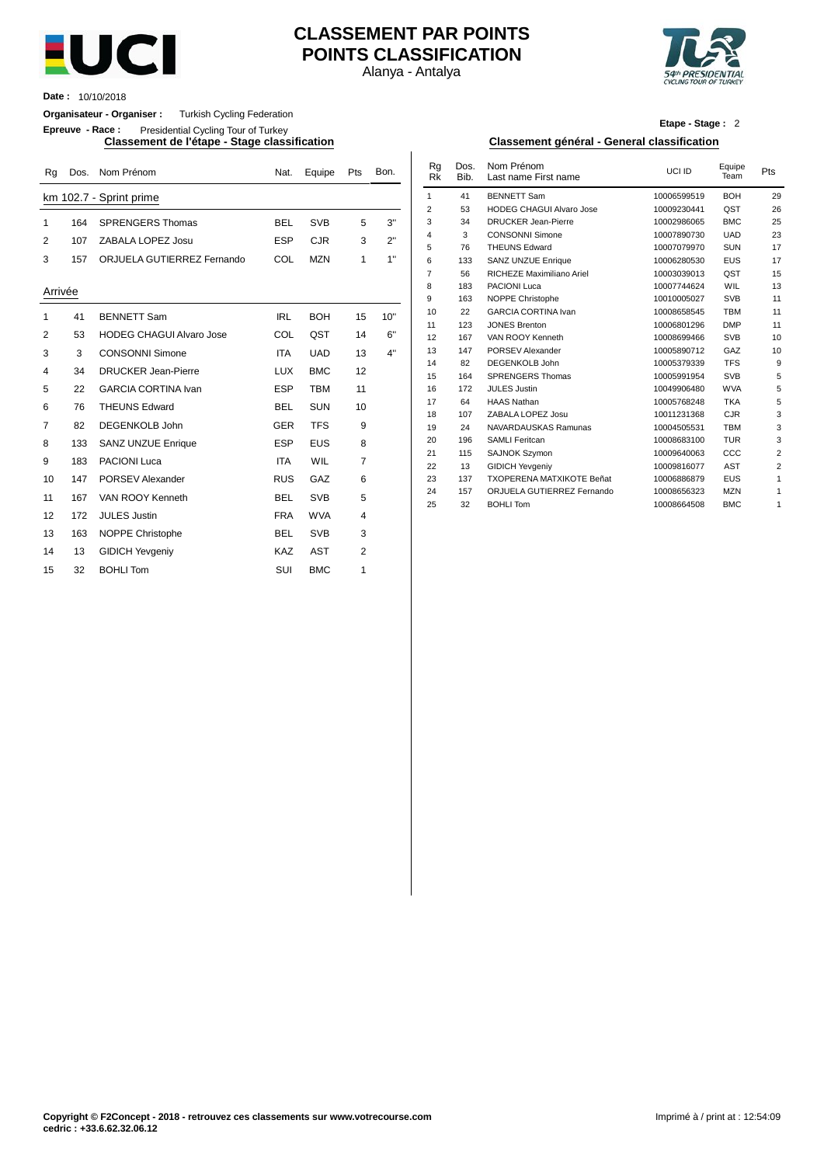

# **CLASSEMENT PAR POINTS POINTS CLASSIFICATION**

Alanya - Antalya



**Date :** 10/10/2018

**Organisateur - Organiser :** Turkish Cycling Federation

**Epreuve - Race :** Presidential Cycling Tour of Turkey

| Rg           | Dos. | Nom Prénom                      | Nat.       | Equipe     | Pts            | Bon. | Rg<br><b>Rk</b> | Dos.<br>Bib. | Nom Prénom<br>Last name First name      | UCI ID                     | Equipe<br>Team    | Pts            |
|--------------|------|---------------------------------|------------|------------|----------------|------|-----------------|--------------|-----------------------------------------|----------------------------|-------------------|----------------|
|              |      | km 102.7 - Sprint prime         |            |            |                |      | $\mathbf{1}$    | 41           | <b>BENNETT Sam</b>                      | 10006599519                | <b>BOH</b>        | 29             |
|              |      |                                 |            |            |                |      | 2               | 53           | <b>HODEG CHAGUI Alvaro Jose</b>         | 10009230441                | QST               | 26             |
| $\mathbf{1}$ | 164  | <b>SPRENGERS Thomas</b>         | <b>BEL</b> | <b>SVB</b> | 5              | 3"   | 3               | 34           | <b>DRUCKER Jean-Pierre</b>              | 10002986065                | <b>BMC</b>        | 25             |
| 2            | 107  | ZABALA LOPEZ Josu               | <b>ESP</b> | <b>CJR</b> | 3              | 2"   | 4               | 3            | <b>CONSONNI Simone</b>                  | 10007890730                | <b>UAD</b>        | 23             |
|              |      |                                 |            |            |                |      | 5               | 76           | <b>THEUNS Edward</b>                    | 10007079970                | <b>SUN</b>        | 17             |
| 3            | 157  | ORJUELA GUTIERREZ Fernando      | COL        | <b>MZN</b> | $\mathbf{1}$   | 1"   | 6               | 133          | <b>SANZ UNZUE Enrique</b>               | 10006280530                | EUS               | 17             |
|              |      |                                 |            |            |                |      | $\overline{7}$  | 56           | RICHEZE Maximiliano Ariel               | 10003039013                | QST               | 15             |
| Arrivée      |      |                                 |            |            |                |      | 8               | 183          | PACIONI Luca                            | 10007744624                | WIL               | 13             |
|              |      |                                 |            |            |                |      | 9               | 163          | NOPPE Christophe                        | 10010005027                | <b>SVB</b>        | 11             |
| 1            | 41   | <b>BENNETT Sam</b>              | <b>IRL</b> | <b>BOH</b> | 15             | 10"  | 10              | 22           | <b>GARCIA CORTINA Ivan</b>              | 10008658545                | <b>TBM</b>        | 11             |
|              |      |                                 |            |            |                | 6"   | 11              | 123          | <b>JONES Brenton</b>                    | 10006801296                | <b>DMP</b>        | 11             |
| 2            | 53   | <b>HODEG CHAGUI Alvaro Jose</b> | COL        | QST        | 14             |      | 12              | 167          | VAN ROOY Kenneth                        | 10008699466                | <b>SVB</b>        | 1 <sup>1</sup> |
| 3            | 3    | <b>CONSONNI Simone</b>          | <b>ITA</b> | <b>UAD</b> | 13             | 4"   | 13              | 147          | <b>PORSEV Alexander</b>                 | 10005890712                | GAZ               | 1 <sub>0</sub> |
| 4            | 34   | <b>DRUCKER Jean-Pierre</b>      | <b>LUX</b> | <b>BMC</b> | 12             |      | 14              | 82           | <b>DEGENKOLB John</b>                   | 10005379339                | <b>TFS</b>        | ç              |
|              |      |                                 |            |            |                |      | 15              | 164          | <b>SPRENGERS Thomas</b>                 | 10005991954                | <b>SVB</b>        |                |
| 5            | 22   | <b>GARCIA CORTINA Ivan</b>      | <b>ESP</b> | <b>TBM</b> | 11             |      | 16<br>17        | 172          | <b>JULES Justin</b>                     | 10049906480                | <b>WVA</b>        |                |
| 6            | 76   | <b>THEUNS Edward</b>            | <b>BEL</b> | <b>SUN</b> | 10             |      | 18              | 64<br>107    | <b>HAAS Nathan</b><br>ZABALA LOPEZ Josu | 10005768248<br>10011231368 | <b>TKA</b><br>CJR |                |
| 7            | 82   | <b>DEGENKOLB John</b>           | <b>GER</b> | <b>TFS</b> | 9              |      | 19              | 24           | NAVARDAUSKAS Ramunas                    | 10004505531                | <b>TBM</b>        |                |
|              |      |                                 |            |            |                |      | 20              | 196          | <b>SAMLI Feritcan</b>                   | 10008683100                | <b>TUR</b>        |                |
| 8            | 133  | <b>SANZ UNZUE Enrique</b>       | <b>ESP</b> | <b>EUS</b> | 8              |      | 21              | 115          | SAJNOK Szymon                           | 10009640063                | CCC               |                |
| 9            | 183  | <b>PACIONI Luca</b>             | <b>ITA</b> | WIL        | $\overline{7}$ |      | 22              | 13           | <b>GIDICH Yevgeniy</b>                  | 10009816077                | <b>AST</b>        |                |
| 10           | 147  | PORSEV Alexander                | <b>RUS</b> | GAZ        | 6              |      | 23              | 137          | <b>TXOPERENA MATXIKOTE Beñat</b>        | 10006886879                | <b>EUS</b>        |                |
| 11           | 167  | VAN ROOY Kenneth                | <b>BEL</b> | <b>SVB</b> | 5              |      | 24              | 157          | ORJUELA GUTIERREZ Fernando              | 10008656323                | <b>MZN</b>        |                |
| 12           | 172  | <b>JULES Justin</b>             | <b>FRA</b> | <b>WVA</b> | 4              |      | 25              | 32           | <b>BOHLI Tom</b>                        | 10008664508                | <b>BMC</b>        |                |
| 13           | 163  | <b>NOPPE Christophe</b>         | <b>BEL</b> | <b>SVB</b> | 3              |      |                 |              |                                         |                            |                   |                |
| 14           | 13   | <b>GIDICH Yevgeniy</b>          | <b>KAZ</b> | <b>AST</b> | 2              |      |                 |              |                                         |                            |                   |                |
| 15           | 32   | <b>BOHLI Tom</b>                | SUI        | <b>BMC</b> | 1              |      |                 |              |                                         |                            |                   |                |

|  |  |  | Etape - Stage: 2 |  |
|--|--|--|------------------|--|
|  |  |  |                  |  |

#### **Classement de l'étape - Stage classification Classement général - General classification**

| Nat.       | Equipe     | Pts | Bon. | Rg<br><b>Rk</b> | Dos.<br>Bib. | Nom Prénom<br>Last name First name | UCI ID      | Equipe<br>Team | Pts            |
|------------|------------|-----|------|-----------------|--------------|------------------------------------|-------------|----------------|----------------|
|            |            |     |      | 1               | 41           | <b>BENNETT Sam</b>                 | 10006599519 | <b>BOH</b>     | 29             |
|            |            |     |      | 2               | 53           | <b>HODEG CHAGUI Alvaro Jose</b>    | 10009230441 | QST            | 26             |
| BEL        | <b>SVB</b> | 5   | 3"   | 3               | 34           | <b>DRUCKER Jean-Pierre</b>         | 10002986065 | <b>BMC</b>     | 25             |
| ESP        | <b>CJR</b> | 3   | 2"   | 4               | 3            | <b>CONSONNI Simone</b>             | 10007890730 | <b>UAD</b>     | 23             |
|            |            |     |      | 5               | 76           | <b>THEUNS Edward</b>               | 10007079970 | <b>SUN</b>     | 17             |
| COL        | <b>MZN</b> | 1   | 1"   | 6               | 133          | <b>SANZ UNZUE Enrique</b>          | 10006280530 | <b>EUS</b>     | 17             |
|            |            |     |      | $\overline{7}$  | 56           | RICHEZE Maximiliano Ariel          | 10003039013 | QST            | 15             |
|            |            |     |      | 8               | 183          | <b>PACIONI Luca</b>                | 10007744624 | <b>WIL</b>     | 13             |
|            |            |     |      | 9               | 163          | NOPPE Christophe                   | 10010005027 | <b>SVB</b>     | 11             |
| <b>IRL</b> | <b>BOH</b> | 15  | 10"  | 10              | 22           | <b>GARCIA CORTINA Ivan</b>         | 10008658545 | <b>TBM</b>     | 11             |
|            |            |     |      | 11              | 123          | <b>JONES Brenton</b>               | 10006801296 | <b>DMP</b>     | 11             |
| COL        | QST        | 14  | 6"   | 12              | 167          | VAN ROOY Kenneth                   | 10008699466 | <b>SVB</b>     | 10             |
| <b>ITA</b> | <b>UAD</b> | 13  | 4"   | 13              | 147          | PORSEV Alexander                   | 10005890712 | GAZ            | 10             |
|            |            |     |      | 14              | 82           | <b>DEGENKOLB John</b>              | 10005379339 | <b>TFS</b>     | 9              |
| LUX        | <b>BMC</b> | 12  |      | 15              | 164          | <b>SPRENGERS Thomas</b>            | 10005991954 | <b>SVB</b>     | 5              |
| ESP        | <b>TBM</b> | 11  |      | 16              | 172          | <b>JULES Justin</b>                | 10049906480 | <b>WVA</b>     | 5              |
| BEL        | <b>SUN</b> | 10  |      | 17              | 64           | <b>HAAS Nathan</b>                 | 10005768248 | <b>TKA</b>     | 5              |
|            |            |     |      | 18              | 107          | ZABALA LOPEZ Josu                  | 10011231368 | <b>CJR</b>     | 3              |
| GER        | <b>TFS</b> | 9   |      | 19              | 24           | NAVARDAUSKAS Ramunas               | 10004505531 | <b>TBM</b>     | 3              |
| ESP        | <b>EUS</b> | 8   |      | 20              | 196          | <b>SAMLI Feritcan</b>              | 10008683100 | <b>TUR</b>     | 3              |
|            |            |     |      | 21              | 115          | <b>SAJNOK Szymon</b>               | 10009640063 | CCC            | $\overline{2}$ |
| <b>ITA</b> | WIL        | 7   |      | 22              | 13           | <b>GIDICH Yevgeniy</b>             | 10009816077 | <b>AST</b>     | $\overline{2}$ |
| RUS        | GAZ        | 6   |      | 23              | 137          | <b>TXOPERENA MATXIKOTE Beñat</b>   | 10006886879 | <b>EUS</b>     | 1              |
| BEL        | <b>SVB</b> | 5   |      | 24              | 157          | ORJUELA GUTIERREZ Fernando         | 10008656323 | <b>MZN</b>     | 1              |
|            |            |     |      | 25              | 32           | <b>BOHLI Tom</b>                   | 10008664508 | <b>BMC</b>     | 1              |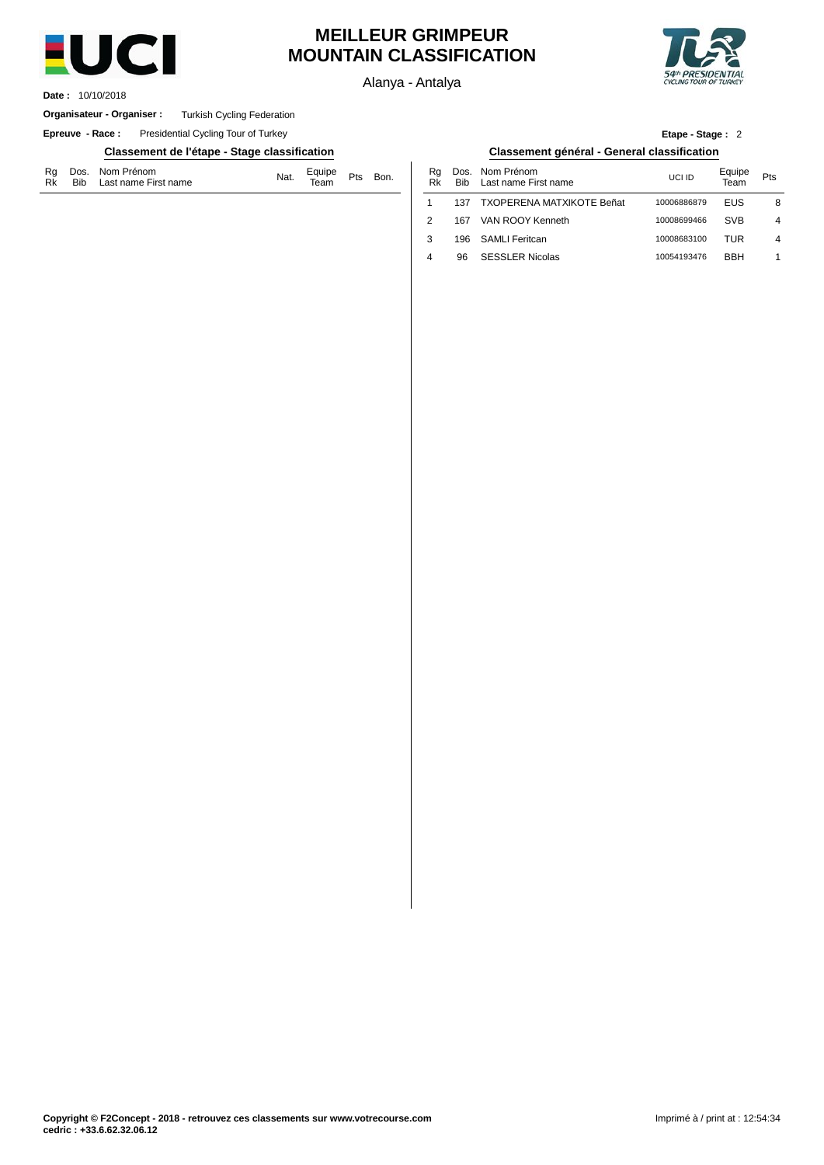

## **MEILLEUR GRIMPEUR MOUNTAIN CLASSIFICATION**

Alanya - Antalya



10/10/2018 **Date :**

#### **Organisateur - Organiser :** Turkish Cycling Federation

**Epreuve - Race:** Presidential Cycling Tour of Turkey

### **Classement de l'étape - Stage classification Classement général - General classification**

| Rg Dos. Nom Prénom<br>Rk Bib Last name First name | Equipe Pts Bon.<br>Team Pts Bon. |  |
|---------------------------------------------------|----------------------------------|--|
|---------------------------------------------------|----------------------------------|--|

| Bon. | Ra<br>Rk | <b>Bib</b> | Dos. Nom Prénom<br>Last name First name | UCI ID      | Equipe<br>Team | Pts |
|------|----------|------------|-----------------------------------------|-------------|----------------|-----|
|      |          | 137        | <b>TXOPERENA MATXIKOTE Beñat</b>        | 10006886879 | EUS            | 8   |
|      | 2        | 167        | VAN ROOY Kenneth                        | 10008699466 | <b>SVB</b>     | 4   |
|      | 3        | 196        | <b>SAMLI Feritcan</b>                   | 10008683100 | TUR            | 4   |
|      | 4        | 96         | <b>SESSLER Nicolas</b>                  | 10054193476 | <b>BBH</b>     |     |
|      |          |            |                                         |             |                |     |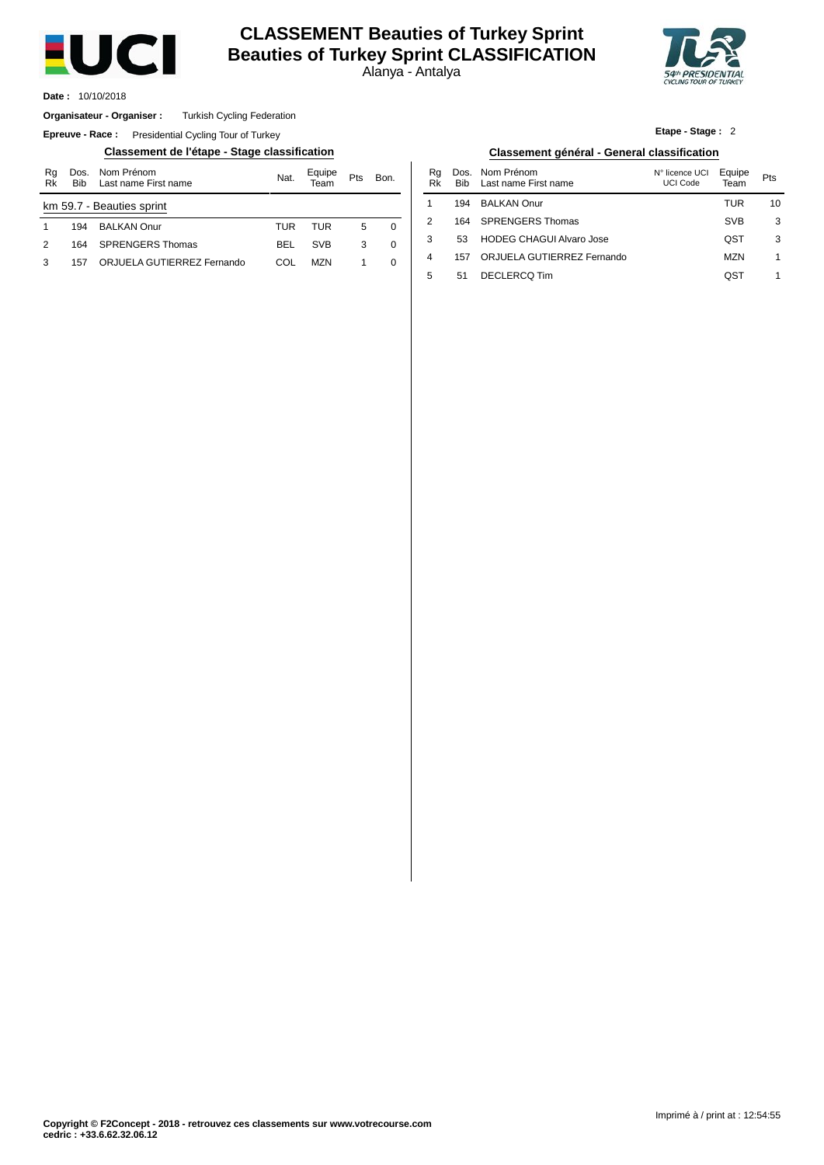

## **CLASSEMENT Beauties of Turkey Sprint Beauties of Turkey Sprint CLASSIFICATION**

Alanya - Antalya



10/10/2018 **Date :**

#### Turkish Cycling Federation **Organisateur - Organiser :**

**Epreuve - Race:** Presidential Cycling Tour of Turkey

### **Classement de l'étape - Stage classification Classement général - General classification**

| Rg<br>Rk | <b>Bib</b> | Dos. Nom Prénom<br>Last name First name | Nat.       | Equipe     | Pts | Bon. |
|----------|------------|-----------------------------------------|------------|------------|-----|------|
|          |            | km 59.7 - Beauties sprint               |            |            |     |      |
|          | 194        | <b>BALKAN Onur</b>                      | TUR        | TUR        | 5   | 0    |
| 2        | 164        | <b>SPRENGERS Thomas</b>                 | <b>BEL</b> | <b>SVB</b> | 3   | 0    |
| з        | 157        | ORJUELA GUTIERREZ Fernando              | COL        | MZN.       |     | 0    |

| Classement de l'étape - Stage classification |            |                |     |          | Classement général - General classification |             |                                    |                            |                |     |  |
|----------------------------------------------|------------|----------------|-----|----------|---------------------------------------------|-------------|------------------------------------|----------------------------|----------------|-----|--|
| Nom Prénom<br>Last name First name           | Nat.       | Equipe<br>Team | Pts | Bon.     | Ra<br>Rk                                    | Dos.<br>Bib | Nom Prénom<br>Last name First name | N° licence UCI<br>UCI Code | Equipe<br>Team | Pts |  |
| eauties sprint                               |            |                |     |          |                                             | 194         | <b>BALKAN Onur</b>                 |                            | TUR            | 10  |  |
| <b>BALKAN Onur</b>                           | TUR        | TUR            | 5   | $\Omega$ |                                             | 164         | <b>SPRENGERS Thomas</b>            |                            | <b>SVB</b>     | 3   |  |
| SPRENGERS Thomas                             | BEL        | <b>SVB</b>     | 3   | 0        |                                             | 53          | <b>HODEG CHAGUI Alvaro Jose</b>    |                            | QST            | 3   |  |
| ORJUELA GUTIERREZ Fernando                   | <b>COL</b> | <b>MZN</b>     |     | 0        | 4                                           | 157         | ORJUELA GUTIERREZ Fernando         |                            | <b>MZN</b>     |     |  |
|                                              |            |                |     |          |                                             | 51          | DECLERCQ Tim                       |                            | QST            |     |  |

### **Etape - Stage :** 2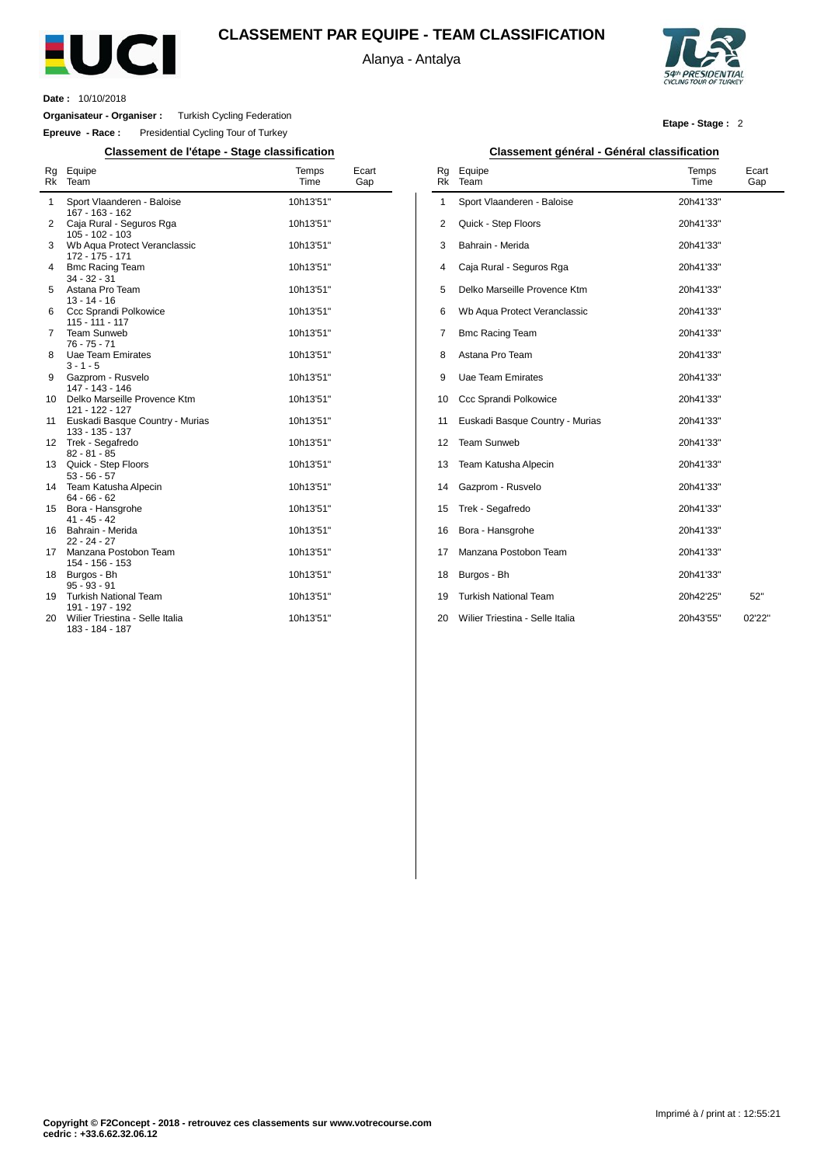

## **CLASSEMENT PAR EQUIPE - TEAM CLASSIFICATION**

Alanya - Antalya



**Date :** 10/10/2018

**Organisateur - Organiser :** Turkish Cycling Federation

**Epreuve - Race :** Presidential Cycling Tour of Turkey

| <b>Rk</b>      | Rg Equipe<br>Team                                             | Temps<br>Time          | Ecart<br>Gap |
|----------------|---------------------------------------------------------------|------------------------|--------------|
| 1              | Sport Vlaanderen - Baloise<br>167 - 163 - 162                 | 10h13'51"              |              |
| 2              | Caja Rural - Seguros Rga<br>$105 - 102 - 103$                 | 10h13'51"              |              |
| 3              | Wb Aqua Protect Veranclassic<br>172 - 175 - 171               | 10h13'51"              |              |
| 4              | <b>Bmc Racing Team</b><br>$34 - 32 - 31$                      | 10h13'51"              |              |
| 5              | Astana Pro Team<br>$13 - 14 - 16$                             | 10h13'51"              |              |
| 6              | Ccc Sprandi Polkowice<br>$115 - 111 - 117$                    | 10h13'51"              |              |
| $\overline{7}$ | <b>Team Sunweb</b><br>$76 - 75 - 71$                          | 10h13'51"              |              |
| 8              | <b>Uae Team Emirates</b><br>$3 - 1 - 5$                       | 10h13'51"              |              |
| 9              | Gazprom - Rusvelo<br>147 - 143 - 146                          | 10h13'51"              |              |
| 10             | Delko Marseille Provence Ktm<br>121 - 122 - 127               | 10h13'51"              |              |
| 11             | Euskadi Basque Country - Murias<br>133 - 135 - 137            | 10h13'51"              |              |
| 12             | Trek - Segafredo<br>$82 - 81 - 85$                            | 10h13'51"              |              |
| 13             | Quick - Step Floors<br>$53 - 56 - 57$                         | 10h13'51"              |              |
| 14             | Team Katusha Alpecin<br>$64 - 66 - 62$                        | 10h13'51"              |              |
| 15             | Bora - Hansgrohe<br>$41 - 45 - 42$                            | 10h13'51"              |              |
| 16             | Bahrain - Merida<br>$22 - 24 - 27$                            | 10h13'51"              |              |
| 17             | Manzana Postobon Team<br>154 - 156 - 153                      | 10h13'51"              |              |
| 18<br>19       | Burgos - Bh<br>$95 - 93 - 91$<br><b>Turkish National Team</b> | 10h13'51"<br>10h13'51" |              |
|                | 191 - 197 - 192<br>Wilier Triestina - Selle Italia            |                        |              |
| 20             | 183 - 184 - 187                                               | 10h13'51"              |              |

### **Etape - Stage :** 2

#### **Classement de l'étape - Stage classification Classement général - Général classification** Rg Rk Equipe Team Temps Time Ecart Gap 1  $\overline{2}$ 3 4 5 6 7 8 9 10 Ccc Sprandi Polkowice 11 Euskadi Basque Country - Murias 12 Team Sunweb 13 Team Katusha Alpecin 14 Gazprom - Rusvelo 15 Trek - Segafredo 16 Bora - Hansgrohe 17 Manzana Postobon Team 18 19 Turkish National Team 20 Wilier Triestina - Selle Italia Sport Vlaanderen - Baloise Quick - Step Floors Bahrain - Merida Caja Rural - Seguros Rga Delko Marseille Provence Ktm Wb Aqua Protect Veranclassic Bmc Racing Team Astana Pro Team Uae Team Emirates Burgos - Bh 20h41'33'' 20h41'33'' 20h41'33'' 20h41'33'' 20h41'33'' 20h41'33'' 20h41'33'' 20h41'33'' 20h41'33'' 20h41'33'' 20h41'33'' 20h41'33'' 20h41'33'' 20h41'33'' 20h41'33'' 20h41'33'' 20h41'33'' 20h41'33'' 20h42'25'' 20h43'55'' 52'' 02'22''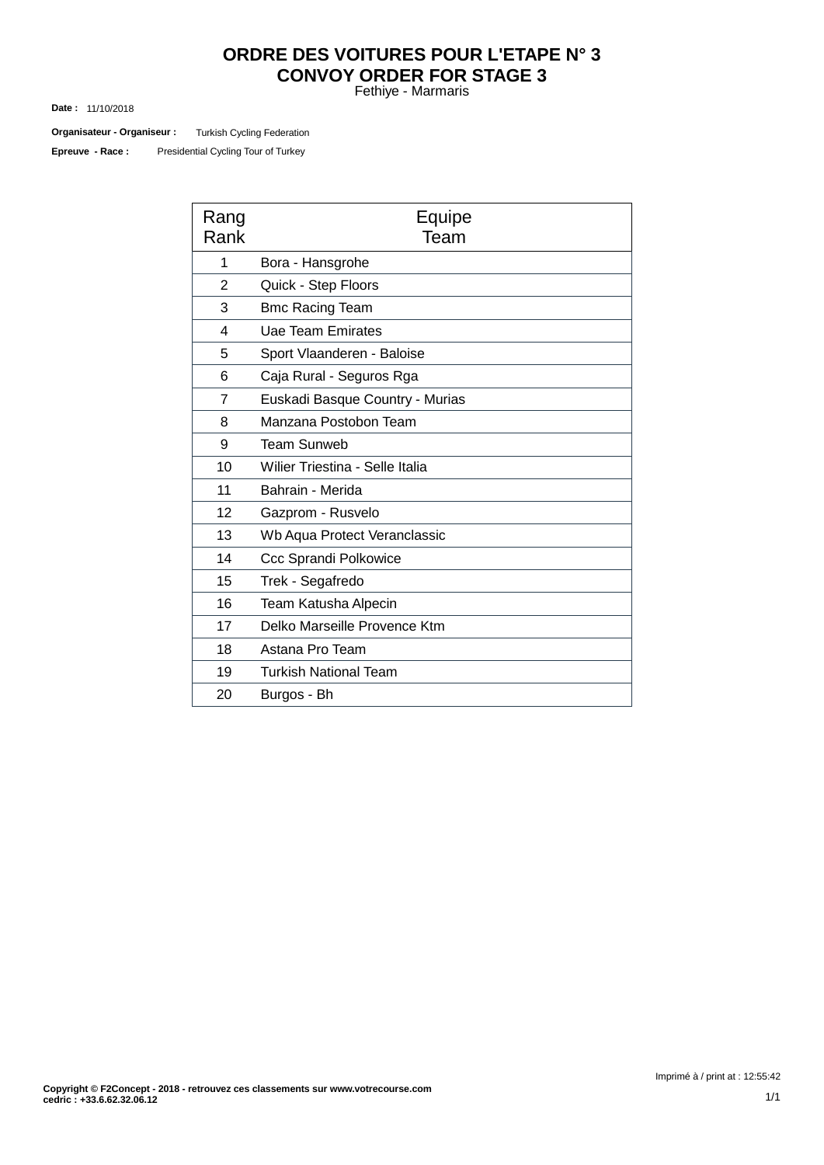# **ORDRE DES VOITURES POUR L'ETAPE N° 3 CONVOY ORDER FOR STAGE 3**

Fethiye - Marmaris

11/10/2018 **Date :**

Turkish Cycling Federation **Organisateur - Organiseur :**

Presidential Cycling Tour of Turkey **Epreuve - Race :**

| Rang<br>Rank   | Equipe<br>Team                  |
|----------------|---------------------------------|
| 1              | Bora - Hansgrohe                |
| $\overline{2}$ | Quick - Step Floors             |
| 3              | <b>Bmc Racing Team</b>          |
| 4              | Uae Team Emirates               |
| 5              | Sport Vlaanderen - Baloise      |
| 6              | Caja Rural - Seguros Rga        |
| 7              | Euskadi Basque Country - Murias |
| 8              | Manzana Postobon Team           |
| 9              | <b>Team Sunweb</b>              |
| 10             | Wilier Triestina - Selle Italia |
| 11             | Bahrain - Merida                |
| 12             | Gazprom - Rusvelo               |
| 13             | Wb Aqua Protect Veranclassic    |
| 14             | Ccc Sprandi Polkowice           |
| 15             | Trek - Segafredo                |
| 16             | Team Katusha Alpecin            |
| 17             | Delko Marseille Provence Ktm    |
| 18             | Astana Pro Team                 |
| 19             | <b>Turkish National Team</b>    |
| 20             | Burgos - Bh                     |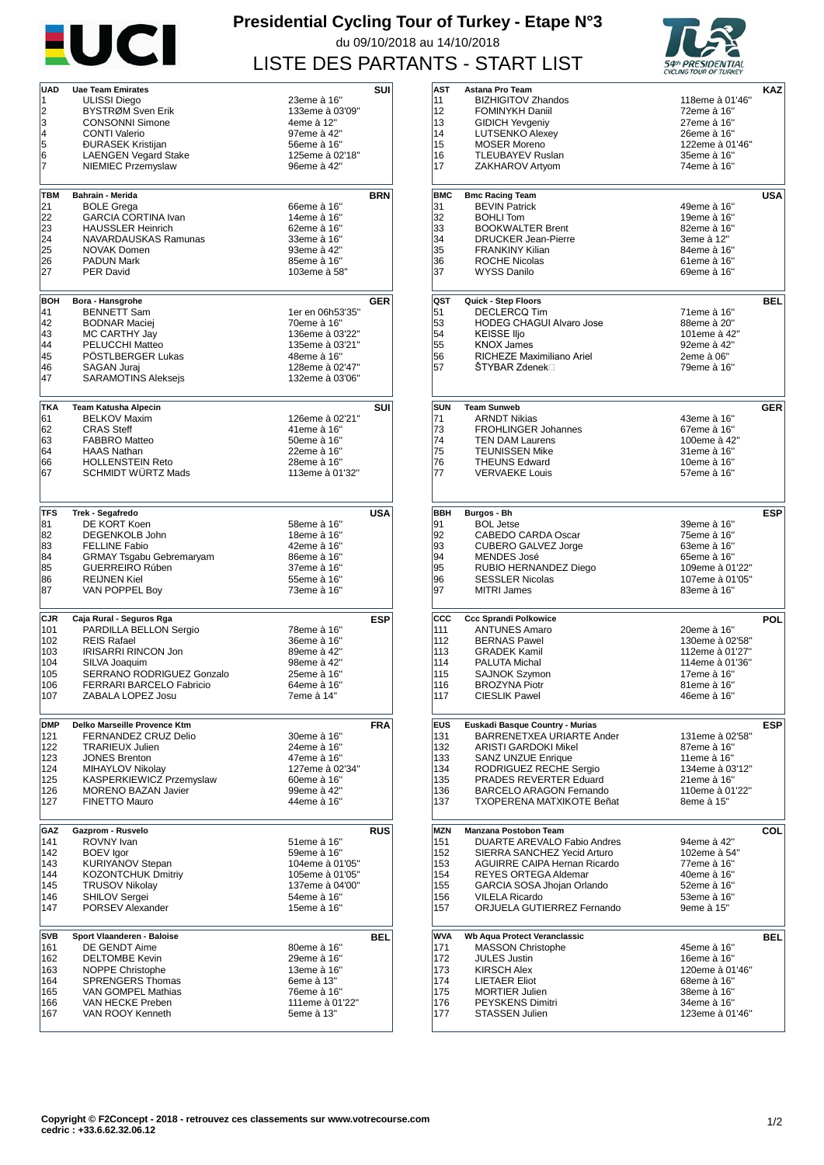

## **Presidential Cycling Tour of Turkey - Etape N°3** du 09/10/2018 au 14/10/2018 LISTE DES PARTANTS - START LIST



| <b>UAD</b> | <b>Uae Team Emirates</b>        |                  | SUI        |
|------------|---------------------------------|------------------|------------|
| 1          | ULISSI Diego                    | 23eme à 16"      |            |
| 2          | BYSTRØM Sven Erik               | 133eme à 03'09"  |            |
| 3          | <b>CONSONNI Simone</b>          | 4eme à 12"       |            |
| 4          | <b>CONTI Valerio</b>            | 97eme à 42"      |            |
| 5          | <b>ĐURASEK Kristijan</b>        | 56eme à 16"      |            |
| 6          | <b>LAENGEN Vegard Stake</b>     | 125eme à 02'18"  |            |
| 7          | <b>NIEMIEC Przemyslaw</b>       | 96eme à 42"      |            |
|            |                                 |                  |            |
|            |                                 |                  |            |
| TBM        | Bahrain - Merida                |                  | <b>BRN</b> |
| 21         | <b>BOLE Grega</b>               | 66eme à 16"      |            |
| 22         | <b>GARCIA CORTINA Ivan</b>      | 14eme à 16"      |            |
| 23         | <b>HAUSSLER Heinrich</b>        | 62eme à 16"      |            |
| 24         | NAVARDAUSKAS Ramunas            | 33eme à 16"      |            |
| 25         | <b>NOVAK Domen</b>              | 93eme à 42"      |            |
| 26         | <b>PADUN Mark</b>               | 85eme à 16"      |            |
| 27         | <b>PER David</b>                | 103eme à 58"     |            |
|            |                                 |                  |            |
| BOH        | Bora - Hansgrohe                |                  | <b>GER</b> |
| 41         | <b>BENNETT Sam</b>              | 1er en 06h53'35" |            |
| 42         | <b>BODNAR Maciej</b>            | 70eme à 16"      |            |
| 43         | MC CARTHY Jay                   | 136eme à 03'22"  |            |
| 44         | PELUCCHI Matteo                 | 135eme à 03'21"  |            |
| 45         | POSTLBERGER Lukas               | 48eme à 16"      |            |
| 46         | SAGAN Jurai                     | 128eme à 02'47"  |            |
| 47         | <b>SARAMOTINS Aleksejs</b>      | 132eme à 03'06"  |            |
|            |                                 |                  |            |
| <b>TKA</b> | <b>Team Katusha Alpecin</b>     |                  | SUI        |
| 61         | <b>BELKOV Maxim</b>             | 126eme à 02'21"  |            |
| 62         | <b>CRAS Steff</b>               | 41eme à 16"      |            |
| 63         | <b>FABBRO Matteo</b>            | 50eme à 16"      |            |
| 64         | <b>HAAS Nathan</b>              | 22eme à 16"      |            |
| 66         | <b>HOLLENSTEIN Reto</b>         | 28eme à 16"      |            |
| 67         | <b>SCHMIDT WÜRTZ Mads</b>       | 113eme à 01'32"  |            |
|            |                                 |                  |            |
|            |                                 |                  |            |
| <b>TFS</b> | Trek - Segafredo                |                  | USA        |
| 81         | DE KORT Koen                    | 58eme à 16"      |            |
| 82         | <b>DEGENKOLB John</b>           | 18eme à 16"      |            |
| 83         | FELLINE Fabio                   | 42eme à 16"      |            |
| 84         | <b>GRMAY Tsgabu Gebremaryam</b> | 86eme à 16"      |            |
| 85         | GUERREIRO Rúben                 | 37eme à 16"      |            |
| 86         | <b>REIJNEN Kiel</b>             | 55eme à 16"      |            |
| 87         | VAN POPPEL Boy                  | 73eme à 16"      |            |
|            |                                 |                  |            |
| <b>CJR</b> | Caja Rural - Seguros Rga        |                  | ESP        |
| 101        | PARDILLA BELLON Sergio          | 78eme à 16"      |            |
| 102        | <b>REIS Rafael</b>              | 36eme à 16"      |            |
| 103        | <b>IRISARRI RINCON Jon</b>      | 89eme à 42"      |            |
| 104        | SILVA Joaquim                   | 98eme à 42"      |            |
| 105        | SERRANO RODRIGUEZ Gonzalo       | 25eme à 16"      |            |
| 106        | <b>FERRARI BARCELO Fabricio</b> | 64eme à 16"      |            |
| 107        | ZABALA LOPEZ Josu               | 7eme à 14"       |            |
|            |                                 |                  |            |
| <b>DMP</b> | Delko Marseille Provence Ktm    |                  | <b>FRA</b> |
| 121        | FERNANDEZ CRUZ Delio            | 30eme à 16"      |            |
| 122        | <b>TRARIEUX Julien</b>          | 24eme à 16"      |            |
| 123        | <b>JONES Brenton</b>            | 47eme à 16"      |            |
| 124        | MIHAYLOV Nikolav                | 127eme à 02'34"  |            |
| 125        | KASPERKIEWICZ Przemyslaw        | 60eme à 16"      |            |
| 126        | <b>MORENO BAZAN Javier</b>      | 99eme à 42"      |            |
| 127        | <b>FINETTO Mauro</b>            | 44eme à 16"      |            |
|            |                                 |                  |            |
| GAZ        | Gazprom - Rusvelo               |                  | <b>RUS</b> |
| 141        | ROVNY Ivan                      | 51eme à 16"      |            |
| 142        | <b>BOEV</b> lgor                | 59eme à 16"      |            |
| 143        | <b>KURIYANOV Stepan</b>         | 104eme à 01'05"  |            |
| 144        | <b>KOZONTCHUK Dmitriy</b>       | 105eme à 01'05"  |            |
| 145        | <b>TRUSOV Nikolay</b>           | 137eme à 04'00"  |            |
| 146        | <b>SHILOV Sergei</b>            | 54eme à 16"      |            |
| 147        | PORSEV Alexander                | 15eme à 16"      |            |
|            |                                 |                  |            |
| <b>SVB</b> | Sport Vlaanderen - Baloise      |                  | BEL        |
| 161        | DE GENDT Aime                   | 80eme à 16"      |            |
| 162        | <b>DELTOMBE Kevin</b>           | 29eme à 16"      |            |
| 163        | NOPPE Christophe                | 13eme à 16"      |            |
| 164        | <b>SPRENGERS Thomas</b>         | 6eme à 13"       |            |
| 165        | <b>VAN GOMPEL Mathias</b>       | 76eme à 16"      |            |
| 166        | VAN HECKE Preben                | 111eme à 01'22"  |            |
| 167        | VAN ROOY Kenneth                | 5eme à 13"       |            |
|            |                                 |                  |            |

|            |                                                              | CICCHED TOOR OF TURNET      |            |
|------------|--------------------------------------------------------------|-----------------------------|------------|
| AST        | Astana Pro Team                                              |                             | KAZ        |
| 11         | <b>BIZHIGITOV Zhandos</b>                                    | 118eme à 01'46"             |            |
| 12         | <b>FOMINYKH Daniil</b>                                       | 72eme à 16"                 |            |
| 13         | <b>GIDICH Yevgeniy</b>                                       | 27eme à 16"                 |            |
| 14         | <b>LUTSENKO Alexey</b>                                       | 26eme à 16"                 |            |
| 15         | <b>MOSER Moreno</b>                                          | 122eme à 01'46"             |            |
| 16         | <b>TLEUBAYEV Ruslan</b>                                      | 35eme à 16"                 |            |
| 17         | ZAKHAROV Artyom                                              | 74eme à 16"                 |            |
|            |                                                              |                             |            |
| <b>BMC</b> | <b>Bmc Racing Team</b>                                       |                             | USA        |
| 31         | <b>BEVIN Patrick</b>                                         | 49eme à 16"                 |            |
| 32         | <b>BOHLI Tom</b>                                             | 19eme à 16"                 |            |
| 33         | <b>BOOKWALTER Brent</b>                                      | 82eme à 16"                 |            |
| 34         | <b>DRUCKER Jean-Pierre</b>                                   | 3eme à 12"                  |            |
| 35         | <b>FRANKINY Kilian</b>                                       | 84eme à 16"                 |            |
| 36         | <b>ROCHE Nicolas</b>                                         | 61eme à 16"                 |            |
| 37         | <b>WYSS Danilo</b>                                           | 69eme à 16"                 |            |
|            |                                                              |                             |            |
|            |                                                              |                             |            |
| QST        | Quick - Step Floors<br>DECLERCQ Tim                          |                             | <b>BEL</b> |
| 51<br>53   | <b>HODEG CHAGUI Alvaro Jose</b>                              | 71eme à 16"                 |            |
| 54         | <b>KEISSE Iljo</b>                                           | 88eme à 20"<br>101eme à 42" |            |
| 55         | <b>KNOX James</b>                                            | 92eme à 42"                 |            |
| 56         | RICHEZE Maximiliano Ariel                                    | 2eme à 06"                  |            |
| 57         | ŠTYBAR Zdenek⊟                                               | 79eme à 16"                 |            |
|            |                                                              |                             |            |
|            |                                                              |                             |            |
| <b>SUN</b> | <b>Team Sunweb</b>                                           |                             | <b>GER</b> |
| 71         | ARNDT Nikias                                                 | 43eme à 16"                 |            |
| 73         | <b>FROHLINGER Johannes</b>                                   | 67eme à 16"                 |            |
| 74         | <b>TEN DAM Laurens</b>                                       | 100eme à 42"                |            |
| 75         | <b>TEUNISSEN Mike</b>                                        | 31eme à 16"                 |            |
| 76         | <b>THEUNS Edward</b>                                         | 10eme à 16"                 |            |
| 77         | <b>VERVAEKE Louis</b>                                        | 57eme à 16"                 |            |
|            |                                                              |                             |            |
|            |                                                              |                             |            |
| <b>BBH</b> | Burgos - Bh                                                  |                             | ESP        |
| 91         | <b>BOL Jetse</b>                                             | 39eme à 16"                 |            |
| 92         | CABEDO CARDA Oscar                                           | 75eme à 16"                 |            |
| 93         | <b>CUBERO GALVEZ Jorge</b>                                   | 63eme à 16"                 |            |
| 94         | <b>MENDES José</b>                                           | 65eme à 16"                 |            |
| 95         | RUBIO HERNANDEZ Diego                                        | 109eme à 01'22"             |            |
| 96         | <b>SESSLER Nicolas</b>                                       | 107eme à 01'05"             |            |
| 97         | <b>MITRI James</b>                                           | 83eme à 16"                 |            |
|            |                                                              |                             |            |
| ccc        | <b>Ccc Sprandi Polkowice</b>                                 |                             | POL        |
| 111        | <b>ANTUNES Amaro</b>                                         | 20eme à 16"                 |            |
| 112        | <b>BERNAS Pawel</b>                                          | 130eme à 02'58"             |            |
| 113        | <b>GRADEK Kamil</b>                                          | 112eme à 01'27"             |            |
| 114        | <b>PALUTA Michal</b>                                         | 114eme à 01'36"             |            |
| 115        | <b>SAJNOK Szymon</b>                                         | 17eme à 16"                 |            |
| 116        | <b>BROZYNA Piotr</b>                                         | 81eme à 16"                 |            |
| 117        | CIESLIK Pawel                                                | 46eme à 16"                 |            |
|            |                                                              |                             |            |
| <b>EUS</b> |                                                              |                             |            |
| 131        | Euskadi Basque Country - Murias<br>BARRENETXEA URIARTE Ander | 131eme à 02'58"             | <b>ESP</b> |
| 132        | ARISTI GARDOKI Mikel                                         | 87eme à 16"                 |            |
| 133        | <b>SANZ UNZUE Enrique</b>                                    | 11eme à 16"                 |            |
| 134        | RODRIGUEZ RECHE Sergio                                       | 134eme à 03'12"             |            |
| 135        | PRADES REVERTER Eduard                                       | 21eme à 16"                 |            |
| 136        | <b>BARCELO ARAGON Fernando</b>                               | 110eme à 01'22"             |            |
| 137        | TXOPERENA MATXIKOTE Beñat                                    | 8eme à 15"                  |            |
|            |                                                              |                             |            |
| MZN        | Manzana Postobon Team                                        |                             | COL        |
| 151        | DUARTE AREVALO Fabio Andres                                  | 94eme à 42"                 |            |
| 152        | SIERRA SANCHEZ Yecid Arturo                                  | 102eme à 54"                |            |
| 153        | <b>AGUIRRE CAIPA Hernan Ricardo</b>                          | 77eme à 16"                 |            |
| 154        | <b>REYES ORTEGA Aldemar</b>                                  | 40eme à 16"                 |            |
| 155        | GARCIA SOSA Jhojan Orlando                                   | 52eme à 16"                 |            |
| 156        | <b>VILELA Ricardo</b>                                        | 53eme à 16"                 |            |
| 157        | ORJUELA GUTIERREZ Fernando                                   | 9eme à 15"                  |            |
|            |                                                              |                             |            |
| WVA        | Wb Aqua Protect Veranclassic                                 |                             | BEL        |
| 171        | <b>MASSON Christophe</b>                                     | 45eme à 16"                 |            |
| 172        | <b>JULES Justin</b>                                          | 16eme à 16"                 |            |
| 173        | <b>KIRSCH Alex</b>                                           | 120eme à 01'46"             |            |
| 174        | <b>LIETAER Eliot</b>                                         | 68eme à 16"                 |            |
| 175        | <b>MORTIER Julien</b>                                        | 38eme à 16"                 |            |
| 176        | PEYSKENS Dimitri                                             | 34eme à 16"                 |            |
| 177        | <b>STASSEN Julien</b>                                        | 123eme à 01'46"             |            |
|            |                                                              |                             |            |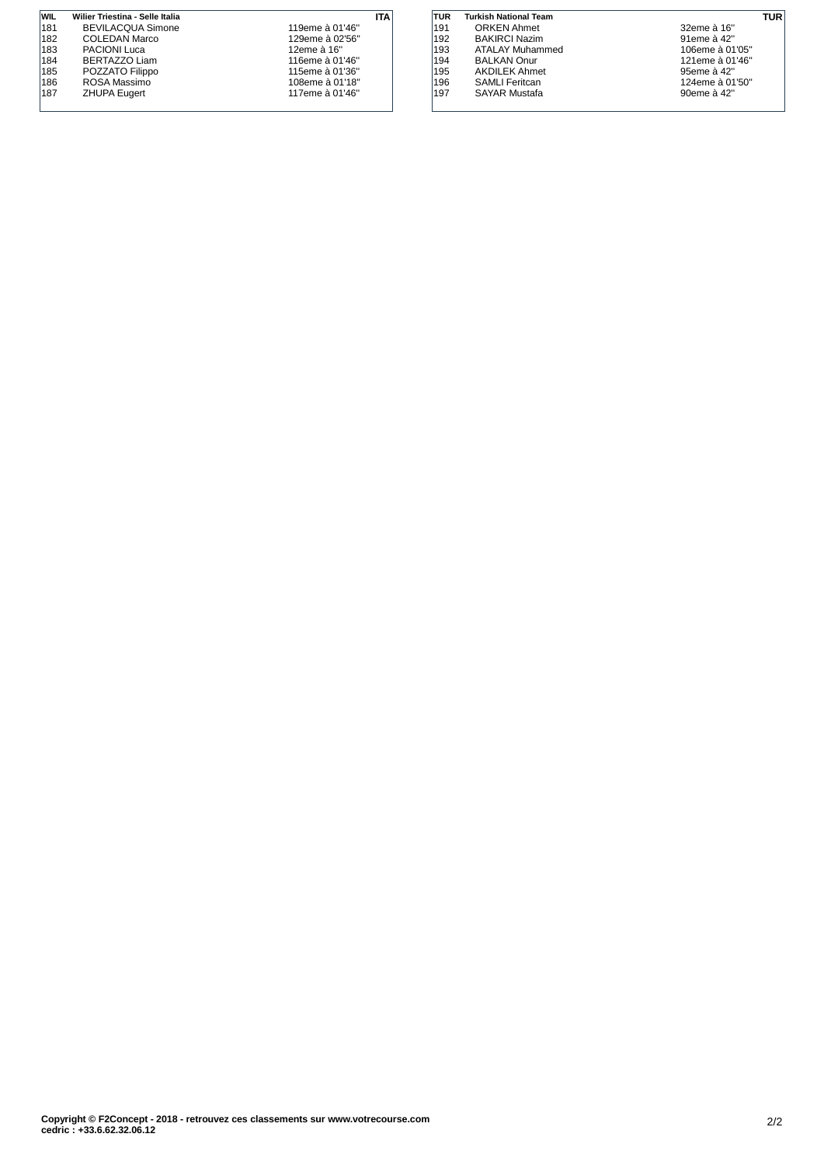| <b>WIL</b> | Wilier Triestina - Selle Italia | ITA             |
|------------|---------------------------------|-----------------|
| 181        | <b>BEVILACQUA Simone</b>        | 119eme à 01'46" |
| 182        | COLEDAN Marco                   | 129eme à 02'56" |
| 183        | PACIONI Luca                    | 12eme à 16"     |
| 184        | BERTAZZO Liam                   | 116eme à 01'46" |
| 185        | POZZATO Filippo                 | 115eme à 01'36" |
| 186        | ROSA Massimo                    | 108eme à 01'18" |
| 187        | <b>ZHUPA Eugert</b>             | 117eme à 01'46" |
|            |                                 |                 |

| TUR | <b>Turkish National Team</b> | TUR             |  |
|-----|------------------------------|-----------------|--|
| 191 | <b>ORKEN Ahmet</b>           | 32eme à 16"     |  |
| 192 | <b>BAKIRCI Nazim</b>         | 91eme à 42"     |  |
| 193 | ATALAY Muhammed              | 106eme à 01'05" |  |
| 194 | <b>BALKAN Onur</b>           | 121eme à 01'46" |  |
| 195 | <b>AKDILEK Ahmet</b>         | 95eme à 42"     |  |
| 196 | <b>SAMLI Feritcan</b>        | 124eme à 01'50" |  |
| 197 | <b>SAYAR Mustafa</b>         | 90eme à 42"     |  |
|     |                              |                 |  |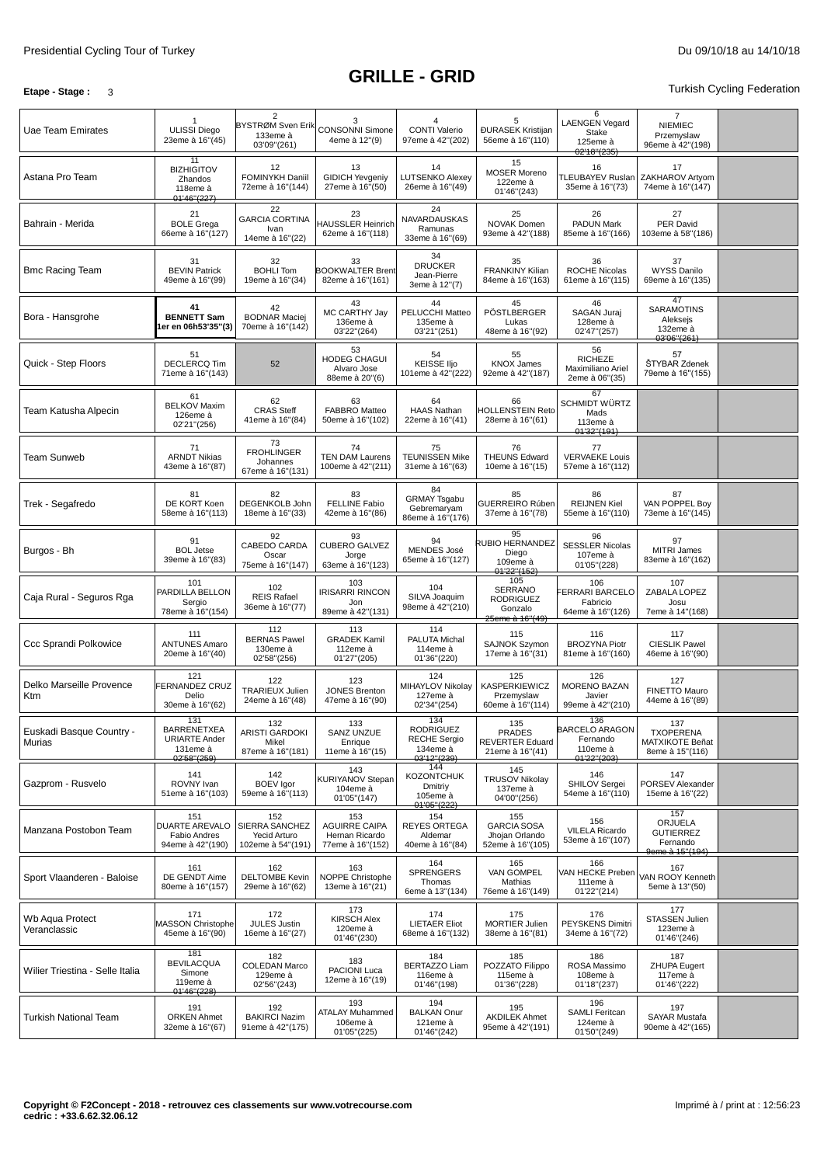### **Etape -** Stage **:** 3 Turkish Cycling Federation

| Uae Team Emirates                  | <b>ULISSI Diego</b><br>23eme à 16"(45)                                       | $\overline{2}$<br>BYSTRØM Sven Erik<br>133eme à<br>03'09"(261) | 3<br><b>CONSONNI Simone</b><br>4eme à 12"(9)                      | 4<br><b>CONTI Valerio</b><br>97eme à 42"(202)                      | 5<br><b>ĐURASEK Kristijan</b><br>56eme à 16"(110)                       | 6<br><b>LAENGEN Vegard</b><br>Stake<br>125eme à<br>02'18''(235)      | $\overline{7}$<br><b>NIEMIEC</b><br>Przemyslaw<br>96eme à 42"(198) |  |
|------------------------------------|------------------------------------------------------------------------------|----------------------------------------------------------------|-------------------------------------------------------------------|--------------------------------------------------------------------|-------------------------------------------------------------------------|----------------------------------------------------------------------|--------------------------------------------------------------------|--|
| Astana Pro Team                    | 11<br><b>BIZHIGITOV</b><br>Zhandos<br>118eme à<br>01'46"(227)                | 12<br>FOMINYKH Daniil<br>72eme à 16"(144)                      | 13<br><b>GIDICH Yevgeniy</b><br>27eme à 16"(50)                   | 14<br><b>LUTSENKO Alexey</b><br>26eme à 16"(49)                    | 15<br><b>MOSER Moreno</b><br>122eme à<br>01'46"(243)                    | 16<br><b>TLEUBAYEV Ruslan</b><br>35eme à 16"(73)                     | 17<br>ZAKHAROV Artyom<br>74eme à 16"(147)                          |  |
| Bahrain - Merida                   | 21<br><b>BOLE Grega</b><br>66eme à 16"(127)                                  | 22<br><b>GARCIA CORTINA</b><br>Ivan<br>14eme à 16"(22)         | 23<br><b>HAUSSLER Heinrich</b><br>62eme à 16"(118)                | 24<br>NAVARDAUSKAS<br>Ramunas<br>33eme à 16"(69)                   | 25<br>NOVAK Domen<br>93eme à 42"(188)                                   | 26<br>PADUN Mark<br>85eme à 16"(166)                                 | 27<br>PER David<br>103eme à 58"(186)                               |  |
| <b>Bmc Racing Team</b>             | 31<br><b>BEVIN Patrick</b><br>49eme à 16"(99)                                | 32<br><b>BOHLI Tom</b><br>19eme à 16"(34)                      | 33<br><b>BOOKWALTER Brent</b><br>82eme à 16"(161)                 | 34<br><b>DRUCKER</b><br>Jean-Pierre<br>3eme à 12"(7)               | 35<br><b>FRANKINY Kilian</b><br>84eme à 16"(163)                        | 36<br><b>ROCHE Nicolas</b><br>61eme à 16"(115)                       | 37<br><b>WYSS Danilo</b><br>69eme à 16"(135)                       |  |
| Bora - Hansgrohe                   | 41<br><b>BENNETT Sam</b><br>er en 06h53'35"(3)                               | 42<br><b>BODNAR Maciej</b><br>70eme à 16"(142)                 | 43<br>MC CARTHY Jay<br>136eme à<br>03'22"(264)                    | 44<br>PELUCCHI Matteo<br>135eme à<br>03'21"(251)                   | 45<br>PÖSTLBERGER<br>Lukas<br>48eme à 16"(92)                           | 46<br>SAGAN Juraj<br>128eme à<br>02'47"(257)                         | 47<br><b>SARAMOTINS</b><br>Aleksejs<br>132eme à<br>03'06''(261)    |  |
| Quick - Step Floors                | 51<br><b>DECLERCQ Tim</b><br>71eme à 16"(143)                                | 52                                                             | 53<br>HODEG CHAGUI<br>Alvaro Jose<br>88eme à 20"(6)               | 54<br><b>KEISSE IIjo</b><br>101eme à 42"(222)                      | 55<br><b>KNOX James</b><br>92eme à 42"(187)                             | 56<br><b>RICHEZE</b><br>Maximiliano Ariel<br>2eme à 06"(35)          | 57<br>ŠTYBAR Zdenek<br>79eme à 16"(155)                            |  |
| Team Katusha Alpecin               | 61<br><b>BELKOV Maxim</b><br>126eme à<br>02'21"(256)                         | 62<br><b>CRAS Steff</b><br>41eme à 16"(84)                     | 63<br>FABBRO Matteo<br>50eme à 16"(102)                           | 64<br><b>HAAS Nathan</b><br>22eme à 16"(41)                        | 66<br><b>HOLLENSTEIN Reto</b><br>28eme à 16"(61)                        | 67<br>SCHMIDT WÜRTZ<br>Mads<br>113eme à<br>01'32''(191)              |                                                                    |  |
| <b>Team Sunweb</b>                 | 71<br><b>ARNDT Nikias</b><br>43eme à 16"(87)                                 | 73<br><b>FROHLINGER</b><br>Johannes<br>67eme à 16"(131)        | 74<br><b>TEN DAM Laurens</b><br>100eme à 42"(211)                 | 75<br><b>TEUNISSEN Mike</b><br>31eme à 16"(63)                     | 76<br><b>THEUNS Edward</b><br>10eme à 16"(15)                           | 77<br><b>VERVAEKE Louis</b><br>57eme à 16"(112)                      |                                                                    |  |
| Trek - Segafredo                   | 81<br>DE KORT Koen<br>58eme à 16"(113)                                       | 82<br>DEGENKOLB John<br>18eme à 16"(33)                        | 83<br><b>FELLINE Fabio</b><br>42eme à 16"(86)                     | 84<br><b>GRMAY Tsgabu</b><br>Gebremaryam<br>86eme à 16"(176)       | 85<br>GUERREIRO Rúben<br>37eme à 16"(78)                                | 86<br><b>REIJNEN Kiel</b><br>55eme à 16"(110)                        | 87<br>VAN POPPEL Boy<br>73eme à 16"(145)                           |  |
| Burgos - Bh                        | 91<br><b>BOL Jetse</b><br>39eme à 16"(83)                                    | 92<br>CABEDO CARDA<br>Oscar<br>75eme à 16"(147)                | 93<br><b>CUBERO GALVEZ</b><br>Jorge<br>63eme à 16"(123)           | 94<br>MENDES José<br>65eme à 16"(127)                              | 95<br>RUBIO HERNANDEZ<br>Diego<br>109eme à<br>01'22''(152)              | 96<br><b>SESSLER Nicolas</b><br>107eme à<br>01'05"(228)              | 97<br>MITRI James<br>83eme à 16"(162)                              |  |
| Caja Rural - Seguros Rga           | 101<br>PARDILLA BELLON<br>Sergio<br>78eme à 16"(154)                         | 102<br><b>REIS Rafael</b><br>36eme à 16"(77)                   | 103<br>IRISARRI RINCON<br>Jon<br>89eme à 42"(131)                 | 104<br>SILVA Joaquim<br>98eme à 42"(210)                           | 105<br><b>SERRANO</b><br><b>RODRIGUEZ</b><br>Gonzalo<br>25eme à 16"(49) | 106<br><b>ERRARI BARCELO</b><br>Fabricio<br>64eme à 16"(126)         | 107<br>ZABALA LOPEZ<br>Josu<br>7eme à 14"(168)                     |  |
| Ccc Sprandi Polkowice              | 111<br><b>ANTUNES Amaro</b><br>20eme à 16"(40)                               | 112<br><b>BERNAS Pawel</b><br>130eme à<br>02'58"(256)          | 113<br><b>GRADEK Kamil</b><br>112eme à<br>01'27"(205)             | 114<br>PALUTA Michal<br>114eme à<br>01'36"(220)                    | 115<br>SAJNOK Szymon<br>17eme à 16"(31)                                 | 116<br><b>BROZYNA Piotr</b><br>81eme à 16"(160)                      | 117<br><b>CIESLIK Pawel</b><br>46eme à 16"(90)                     |  |
| Delko Marseille Provence<br>Ktm    | 121<br>FERNANDEZ CRUZ<br>Delio<br>30eme à 16"(62)                            | 122<br>TRARIEUX Julien<br>24eme à 16"(48)                      | 123<br><b>JONES Brenton</b><br>47eme à 16"(90)                    | 124<br>MIHAYLOV Nikolay<br>127eme à<br>02'34"(254)                 | 125<br><b>KASPERKIEWICZ</b><br>Przemyslaw<br>60eme à 16"(114)           | 126<br>MORENO BAZAN<br>Javier<br>99eme à 42"(210)                    | 127<br>FINETTO Mauro<br>44eme à 16"(89)                            |  |
| Euskadi Basque Country -<br>Murias | 131<br><b>BARRENETXEA</b><br><b>URIARTE Ander</b><br>131eme à<br>02'58"(259) | 132<br>ARISTI GARDOKI<br>Mikel<br>87eme à 16"(181)             | 133<br>SANZ UNZUE<br>Enrique<br>11eme à 16"(15)                   | 134<br>RODRIGUEZ<br><b>RECHE Sergio</b><br>134eme à<br>03'12"(239) | 135<br><b>PRADES</b><br>REVERTER Eduard<br>21eme à 16"(41)              | 136<br><b>BARCELO ARAGON</b><br>Fernando<br>110eme à<br>01'22''(203) | 137<br><b>TXOPERENA</b><br>MATXIKOTE Beñat<br>8eme à 15"(116)      |  |
| Gazprom - Rusvelo                  | 141<br>ROVNY Ivan<br>51eme à 16"(103)                                        | 142<br><b>BOEV</b> Igor<br>59eme à 16"(113)                    | 143<br><b>KURIYANOV Stepan</b><br>104eme à<br>01'05"(147)         | 144<br><b>KOZONTCHUK</b><br>Dmitriy<br>105eme à<br>01'05''(222)    | 145<br><b>TRUSOV Nikolay</b><br>137eme à<br>04'00"(256)                 | 146<br>SHILOV Sergei<br>54eme à 16"(110)                             | 147<br>PORSEV Alexander<br>15eme à 16"(22)                         |  |
| Manzana Postobon Team              | 151<br>DUARTE AREVALO<br><b>Fabio Andres</b><br>94eme à 42"(190)             | 152<br>SIERRA SANCHEZ<br>Yecid Arturo<br>102eme à 54"(191)     | 153<br><b>AGUIRRE CAIPA</b><br>Hernan Ricardo<br>77eme à 16"(152) | 154<br><b>REYES ORTEGA</b><br>Aldemar<br>40eme à 16"(84)           | 155<br><b>GARCIA SOSA</b><br>Jhojan Orlando<br>52eme à 16"(105)         | 156<br><b>VILELA Ricardo</b><br>53eme à 16"(107)                     | 157<br>ORJUELA<br><b>GUTIERREZ</b><br>Fernando<br>9eme à 15"(194)  |  |
| Sport Vlaanderen - Baloise         | 161<br>DE GENDT Aime<br>80eme à 16"(157)                                     | 162<br><b>DELTOMBE Kevin</b><br>29eme à 16"(62)                | 163<br>NOPPE Christophe<br>13eme à 16"(21)                        | 164<br><b>SPRENGERS</b><br>Thomas<br>6eme à 13"(134)               | 165<br>VAN GOMPEL<br>Mathias<br>76eme à 16"(149)                        | 166<br>VAN HECKE Preben<br>111eme à<br>01'22"(214)                   | 167<br>VAN ROOY Kenneth<br>5eme à 13"(50)                          |  |
| Wb Aqua Protect<br>Veranclassic    | 171<br><b>MASSON Christophe</b><br>45eme à 16"(90)                           | 172<br><b>JULES Justin</b><br>16eme à 16"(27)                  | 173<br><b>KIRSCH Alex</b><br>120eme à<br>01'46"(230)              | 174<br><b>LIETAER Eliot</b><br>68eme à 16"(132)                    | 175<br>MORTIER Julien<br>38eme à 16"(81)                                | 176<br><b>PEYSKENS Dimitri</b><br>34eme à 16"(72)                    | 177<br><b>STASSEN Julien</b><br>123eme à<br>01'46"(246)            |  |
| Wilier Triestina - Selle Italia    | 181<br><b>BEVILACQUA</b><br>Simone<br>119eme à<br>01'46"(228)                | 182<br><b>COLEDAN Marco</b><br>129eme à<br>02'56"(243)         | 183<br>PACIONI Luca<br>12eme à 16"(19)                            | 184<br><b>BERTAZZO Liam</b><br>116eme à<br>01'46"(198)             | 185<br>POZZATO Filippo<br>115eme à<br>01'36"(228)                       | 186<br>ROSA Massimo<br>108eme à<br>01'18"(237)                       | 187<br><b>ZHUPA Eugert</b><br>117eme à<br>01'46"(222)              |  |
| <b>Turkish National Team</b>       | 191<br><b>ORKEN Ahmet</b><br>32eme à 16"(67)                                 | 192<br><b>BAKIRCI Nazim</b><br>91eme à 42"(175)                | 193<br><b>ATALAY Muhammed</b><br>106eme à<br>01'05"(225)          | 194<br><b>BALKAN Onur</b><br>121eme à<br>01'46"(242)               | 195<br><b>AKDILEK Ahmet</b><br>95eme à 42"(191)                         | 196<br>SAMLI Feritcan<br>124eme à<br>01'50"(249)                     | 197<br><b>SAYAR Mustafa</b><br>90eme à 42"(165)                    |  |